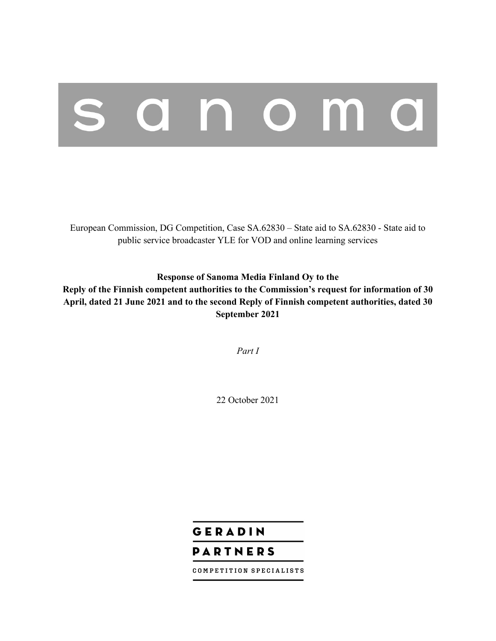# anoma

European Commission, DG Competition, Case SA.62830 – State aid to SA.62830 - State aid to public service broadcaster YLE for VOD and online learning services

**Response of Sanoma Media Finland Oy to the** 

**Reply of the Finnish competent authorities to the Commission's request for information of 30 April, dated 21 June 2021 and to the second Reply of Finnish competent authorities, dated 30 September 2021** 

*Part I*

22 October 2021

# GERADIN **PARTNERS**

COMPETITION SPECIALISTS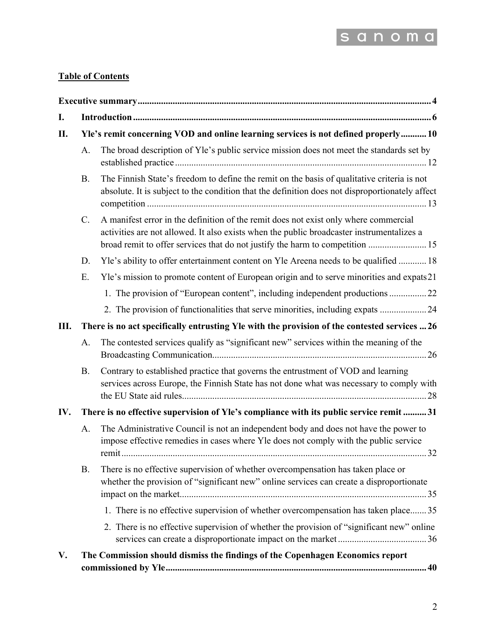

## **Table of Contents**

| I.                                                                                        |                                                                                              |                                                                                                                                                                                                                                                                    |  |  |  |  |
|-------------------------------------------------------------------------------------------|----------------------------------------------------------------------------------------------|--------------------------------------------------------------------------------------------------------------------------------------------------------------------------------------------------------------------------------------------------------------------|--|--|--|--|
| Yle's remit concerning VOD and online learning services is not defined properly 10<br>II. |                                                                                              |                                                                                                                                                                                                                                                                    |  |  |  |  |
|                                                                                           | A.                                                                                           | The broad description of Yle's public service mission does not meet the standards set by                                                                                                                                                                           |  |  |  |  |
|                                                                                           | <b>B.</b>                                                                                    | The Finnish State's freedom to define the remit on the basis of qualitative criteria is not<br>absolute. It is subject to the condition that the definition does not disproportionately affect                                                                     |  |  |  |  |
|                                                                                           | C.                                                                                           | A manifest error in the definition of the remit does not exist only where commercial<br>activities are not allowed. It also exists when the public broadcaster instrumentalizes a<br>broad remit to offer services that do not justify the harm to competition  15 |  |  |  |  |
|                                                                                           | D.                                                                                           | Yle's ability to offer entertainment content on Yle Areena needs to be qualified  18                                                                                                                                                                               |  |  |  |  |
|                                                                                           | Ε.                                                                                           | Yle's mission to promote content of European origin and to serve minorities and expats21                                                                                                                                                                           |  |  |  |  |
|                                                                                           |                                                                                              | 1. The provision of "European content", including independent productions 22                                                                                                                                                                                       |  |  |  |  |
|                                                                                           |                                                                                              | 2. The provision of functionalities that serve minorities, including expats 24                                                                                                                                                                                     |  |  |  |  |
| Ш.                                                                                        | There is no act specifically entrusting Yle with the provision of the contested services  26 |                                                                                                                                                                                                                                                                    |  |  |  |  |
|                                                                                           | A.                                                                                           | The contested services qualify as "significant new" services within the meaning of the                                                                                                                                                                             |  |  |  |  |
|                                                                                           | <b>B.</b>                                                                                    | Contrary to established practice that governs the entrustment of VOD and learning<br>services across Europe, the Finnish State has not done what was necessary to comply with                                                                                      |  |  |  |  |
| IV.                                                                                       |                                                                                              | There is no effective supervision of Yle's compliance with its public service remit 31                                                                                                                                                                             |  |  |  |  |
|                                                                                           | A.                                                                                           | The Administrative Council is not an independent body and does not have the power to<br>impose effective remedies in cases where Yle does not comply with the public service                                                                                       |  |  |  |  |
|                                                                                           | <b>B.</b>                                                                                    | There is no effective supervision of whether overcompensation has taken place or<br>whether the provision of "significant new" online services can create a disproportionate                                                                                       |  |  |  |  |
|                                                                                           |                                                                                              | 1. There is no effective supervision of whether overcompensation has taken place 35                                                                                                                                                                                |  |  |  |  |
|                                                                                           |                                                                                              | 2. There is no effective supervision of whether the provision of "significant new" online                                                                                                                                                                          |  |  |  |  |
| V.                                                                                        |                                                                                              | The Commission should dismiss the findings of the Copenhagen Economics report                                                                                                                                                                                      |  |  |  |  |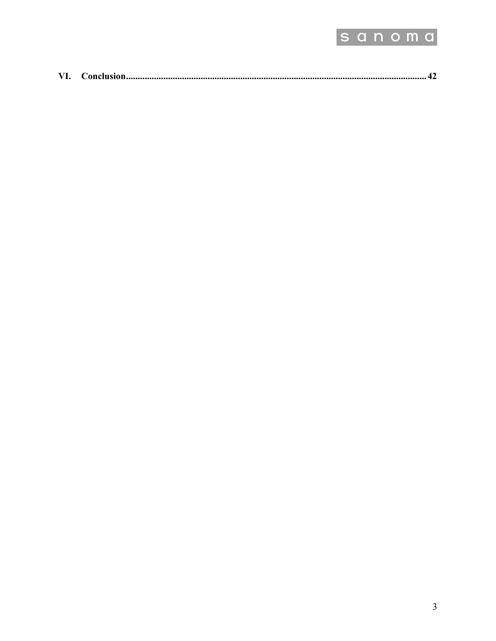

| VI. |  |  |  |
|-----|--|--|--|
|-----|--|--|--|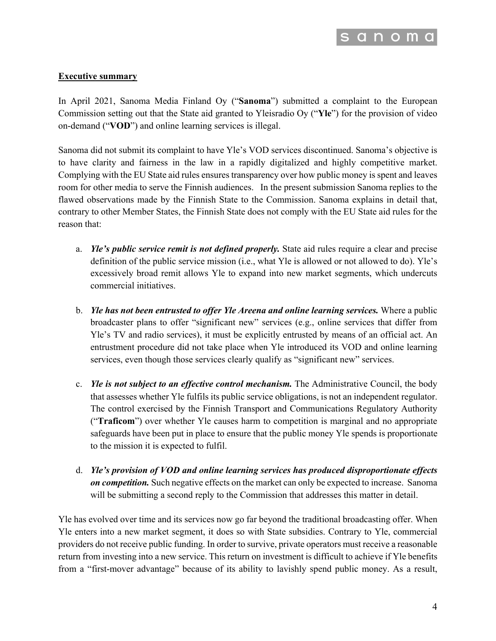

#### **Executive summary**

In April 2021, Sanoma Media Finland Oy ("**Sanoma**") submitted a complaint to the European Commission setting out that the State aid granted to Yleisradio Oy ("**Yle**") for the provision of video on-demand ("**VOD**") and online learning services is illegal.

Sanoma did not submit its complaint to have Yle's VOD services discontinued. Sanoma's objective is to have clarity and fairness in the law in a rapidly digitalized and highly competitive market. Complying with the EU State aid rules ensures transparency over how public money is spent and leaves room for other media to serve the Finnish audiences. In the present submission Sanoma replies to the flawed observations made by the Finnish State to the Commission. Sanoma explains in detail that, contrary to other Member States, the Finnish State does not comply with the EU State aid rules for the reason that:

- a. *Yle's public service remit is not defined properly.* State aid rules require a clear and precise definition of the public service mission (i.e., what Yle is allowed or not allowed to do). Yle's excessively broad remit allows Yle to expand into new market segments, which undercuts commercial initiatives.
- b. *Yle has not been entrusted to offer Yle Areena and online learning services.* Where a public broadcaster plans to offer "significant new" services (e.g., online services that differ from Yle's TV and radio services), it must be explicitly entrusted by means of an official act. An entrustment procedure did not take place when Yle introduced its VOD and online learning services, even though those services clearly qualify as "significant new" services.
- c. *Yle is not subject to an effective control mechanism.* The Administrative Council, the body that assesses whether Yle fulfils its public service obligations, is not an independent regulator. The control exercised by the Finnish Transport and Communications Regulatory Authority ("**Traficom**") over whether Yle causes harm to competition is marginal and no appropriate safeguards have been put in place to ensure that the public money Yle spends is proportionate to the mission it is expected to fulfil.
- d. *Yle's provision of VOD and online learning services has produced disproportionate effects on competition.* Such negative effects on the market can only be expected to increase. Sanoma will be submitting a second reply to the Commission that addresses this matter in detail.

Yle has evolved over time and its services now go far beyond the traditional broadcasting offer. When Yle enters into a new market segment, it does so with State subsidies. Contrary to Yle, commercial providers do not receive public funding. In order to survive, private operators must receive a reasonable return from investing into a new service. This return on investment is difficult to achieve if Yle benefits from a "first-mover advantage" because of its ability to lavishly spend public money. As a result,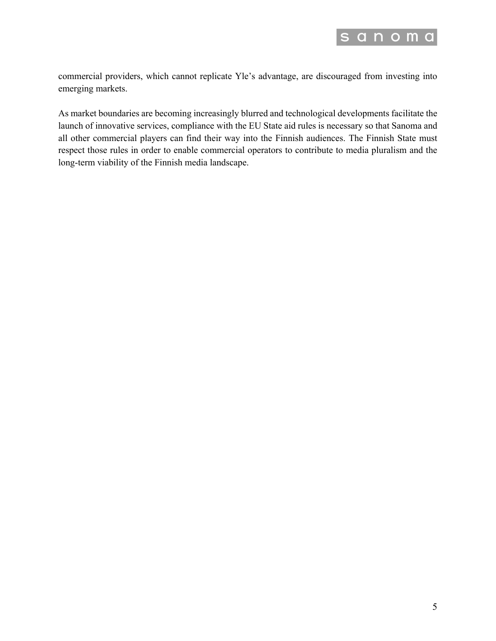

commercial providers, which cannot replicate Yle's advantage, are discouraged from investing into emerging markets.

As market boundaries are becoming increasingly blurred and technological developments facilitate the launch of innovative services, compliance with the EU State aid rules is necessary so that Sanoma and all other commercial players can find their way into the Finnish audiences. The Finnish State must respect those rules in order to enable commercial operators to contribute to media pluralism and the long-term viability of the Finnish media landscape.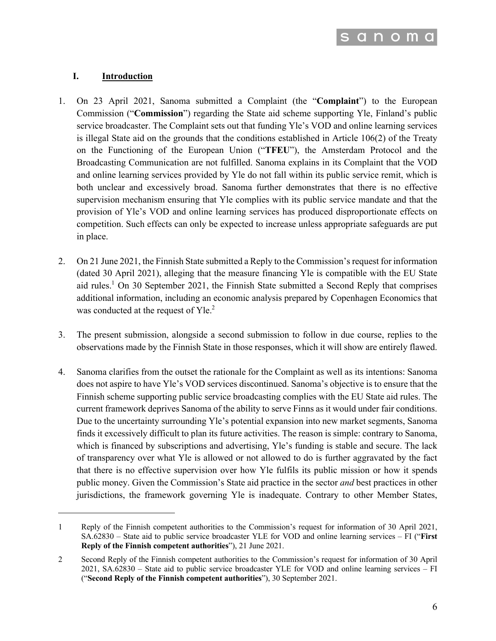

#### **I. Introduction**

- 1. On 23 April 2021, Sanoma submitted a Complaint (the "**Complaint**") to the European Commission ("**Commission**") regarding the State aid scheme supporting Yle, Finland's public service broadcaster. The Complaint sets out that funding Yle's VOD and online learning services is illegal State aid on the grounds that the conditions established in Article 106(2) of the Treaty on the Functioning of the European Union ("**TFEU**"), the Amsterdam Protocol and the Broadcasting Communication are not fulfilled. Sanoma explains in its Complaint that the VOD and online learning services provided by Yle do not fall within its public service remit, which is both unclear and excessively broad. Sanoma further demonstrates that there is no effective supervision mechanism ensuring that Yle complies with its public service mandate and that the provision of Yle's VOD and online learning services has produced disproportionate effects on competition. Such effects can only be expected to increase unless appropriate safeguards are put in place.
- 2. On 21 June 2021, the Finnish State submitted a Reply to the Commission's request for information (dated 30 April 2021), alleging that the measure financing Yle is compatible with the EU State aid rules.<sup>1</sup> On 30 September 2021, the Finnish State submitted a Second Reply that comprises additional information, including an economic analysis prepared by Copenhagen Economics that was conducted at the request of Yle.<sup>2</sup>
- 3. The present submission, alongside a second submission to follow in due course, replies to the observations made by the Finnish State in those responses, which it will show are entirely flawed.
- 4. Sanoma clarifies from the outset the rationale for the Complaint as well as its intentions: Sanoma does not aspire to have Yle's VOD services discontinued. Sanoma's objective is to ensure that the Finnish scheme supporting public service broadcasting complies with the EU State aid rules. The current framework deprives Sanoma of the ability to serve Finns as it would under fair conditions. Due to the uncertainty surrounding Yle's potential expansion into new market segments, Sanoma finds it excessively difficult to plan its future activities. The reason is simple: contrary to Sanoma, which is financed by subscriptions and advertising, Yle's funding is stable and secure. The lack of transparency over what Yle is allowed or not allowed to do is further aggravated by the fact that there is no effective supervision over how Yle fulfils its public mission or how it spends public money. Given the Commission's State aid practice in the sector *and* best practices in other jurisdictions, the framework governing Yle is inadequate. Contrary to other Member States,

<sup>1</sup> Reply of the Finnish competent authorities to the Commission's request for information of 30 April 2021, SA.62830 – State aid to public service broadcaster YLE for VOD and online learning services – FI ("**First Reply of the Finnish competent authorities**"), 21 June 2021.

<sup>2</sup> Second Reply of the Finnish competent authorities to the Commission's request for information of 30 April 2021, SA.62830 – State aid to public service broadcaster YLE for VOD and online learning services – FI ("**Second Reply of the Finnish competent authorities**"), 30 September 2021.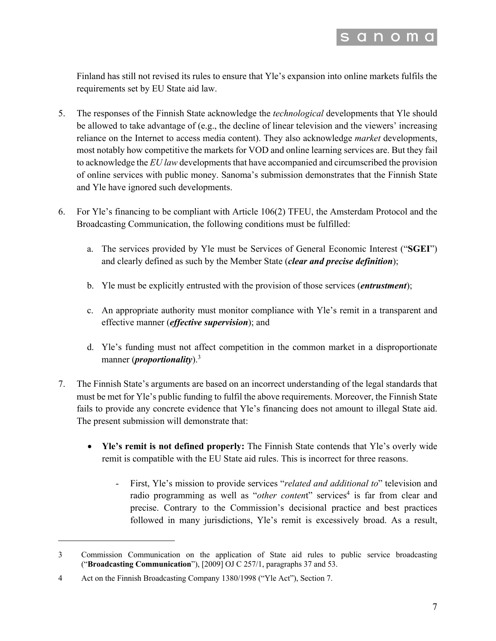

Finland has still not revised its rules to ensure that Yle's expansion into online markets fulfils the requirements set by EU State aid law.

- 5. The responses of the Finnish State acknowledge the *technological* developments that Yle should be allowed to take advantage of (e.g., the decline of linear television and the viewers' increasing reliance on the Internet to access media content). They also acknowledge *market* developments, most notably how competitive the markets for VOD and online learning services are. But they fail to acknowledge the *EU law* developments that have accompanied and circumscribed the provision of online services with public money. Sanoma's submission demonstrates that the Finnish State and Yle have ignored such developments.
- 6. For Yle's financing to be compliant with Article 106(2) TFEU, the Amsterdam Protocol and the Broadcasting Communication, the following conditions must be fulfilled:
	- a. The services provided by Yle must be Services of General Economic Interest ("**SGEI**") and clearly defined as such by the Member State (*clear and precise definition*);
	- b. Yle must be explicitly entrusted with the provision of those services (*entrustment*);
	- c. An appropriate authority must monitor compliance with Yle's remit in a transparent and effective manner (*effective supervision*); and
	- d. Yle's funding must not affect competition in the common market in a disproportionate manner (*proportionality*).<sup>3</sup>
- 7. The Finnish State's arguments are based on an incorrect understanding of the legal standards that must be met for Yle's public funding to fulfil the above requirements. Moreover, the Finnish State fails to provide any concrete evidence that Yle's financing does not amount to illegal State aid. The present submission will demonstrate that:
	- **Yle's remit is not defined properly:** The Finnish State contends that Yle's overly wide remit is compatible with the EU State aid rules. This is incorrect for three reasons.
		- First, Yle's mission to provide services "*related and additional to*" television and radio programming as well as "other content" services<sup>4</sup> is far from clear and precise. Contrary to the Commission's decisional practice and best practices followed in many jurisdictions, Yle's remit is excessively broad. As a result,

<sup>3</sup> Commission Communication on the application of State aid rules to public service broadcasting ("**Broadcasting Communication**"), [2009] OJ C 257/1, paragraphs 37 and 53.

<sup>4</sup> Act on the Finnish Broadcasting Company 1380/1998 ("Yle Act"), Section 7.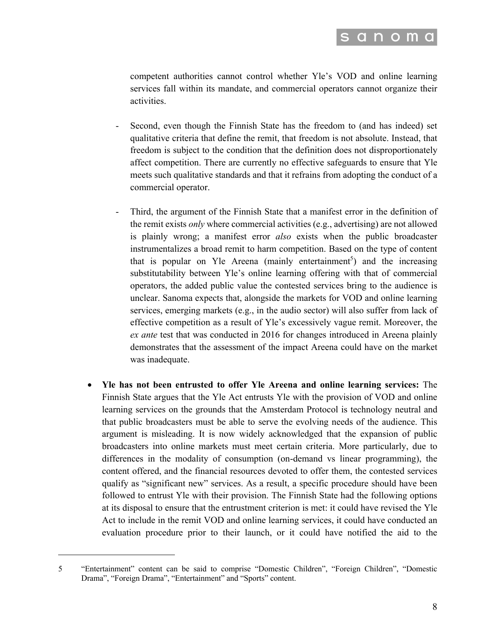

competent authorities cannot control whether Yle's VOD and online learning services fall within its mandate, and commercial operators cannot organize their activities.

- Second, even though the Finnish State has the freedom to (and has indeed) set qualitative criteria that define the remit, that freedom is not absolute. Instead, that freedom is subject to the condition that the definition does not disproportionately affect competition. There are currently no effective safeguards to ensure that Yle meets such qualitative standards and that it refrains from adopting the conduct of a commercial operator.
- Third, the argument of the Finnish State that a manifest error in the definition of the remit exists *only* where commercial activities (e.g., advertising) are not allowed is plainly wrong; a manifest error *also* exists when the public broadcaster instrumentalizes a broad remit to harm competition. Based on the type of content that is popular on Yle Areena (mainly entertainment<sup>5</sup>) and the increasing substitutability between Yle's online learning offering with that of commercial operators, the added public value the contested services bring to the audience is unclear. Sanoma expects that, alongside the markets for VOD and online learning services, emerging markets (e.g., in the audio sector) will also suffer from lack of effective competition as a result of Yle's excessively vague remit. Moreover, the *ex ante* test that was conducted in 2016 for changes introduced in Areena plainly demonstrates that the assessment of the impact Areena could have on the market was inadequate.
- **Yle has not been entrusted to offer Yle Areena and online learning services:** The Finnish State argues that the Yle Act entrusts Yle with the provision of VOD and online learning services on the grounds that the Amsterdam Protocol is technology neutral and that public broadcasters must be able to serve the evolving needs of the audience. This argument is misleading. It is now widely acknowledged that the expansion of public broadcasters into online markets must meet certain criteria. More particularly, due to differences in the modality of consumption (on-demand vs linear programming), the content offered, and the financial resources devoted to offer them, the contested services qualify as "significant new" services. As a result, a specific procedure should have been followed to entrust Yle with their provision. The Finnish State had the following options at its disposal to ensure that the entrustment criterion is met: it could have revised the Yle Act to include in the remit VOD and online learning services, it could have conducted an evaluation procedure prior to their launch, or it could have notified the aid to the

<sup>5</sup> "Entertainment" content can be said to comprise "Domestic Children", "Foreign Children", "Domestic Drama", "Foreign Drama", "Entertainment" and "Sports" content.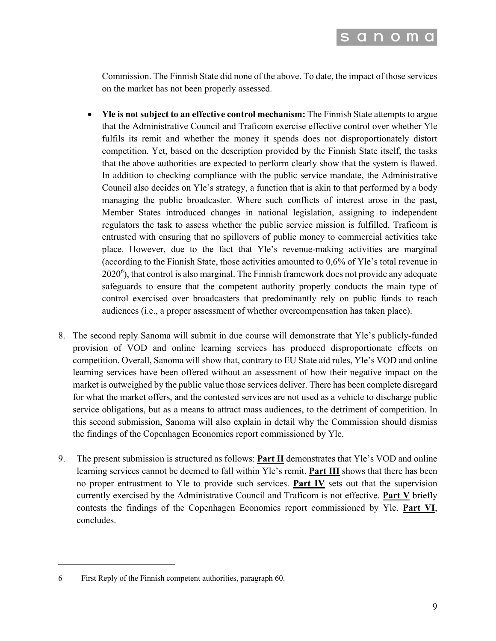

Commission. The Finnish State did none of the above. To date, the impact of those services on the market has not been properly assessed.

- **Yle is not subject to an effective control mechanism:** The Finnish State attempts to argue that the Administrative Council and Traficom exercise effective control over whether Yle fulfils its remit and whether the money it spends does not disproportionately distort competition. Yet, based on the description provided by the Finnish State itself, the tasks that the above authorities are expected to perform clearly show that the system is flawed. In addition to checking compliance with the public service mandate, the Administrative Council also decides on Yle's strategy, a function that is akin to that performed by a body managing the public broadcaster. Where such conflicts of interest arose in the past, Member States introduced changes in national legislation, assigning to independent regulators the task to assess whether the public service mission is fulfilled. Traficom is entrusted with ensuring that no spillovers of public money to commercial activities take place. However, due to the fact that Yle's revenue-making activities are marginal (according to the Finnish State, those activities amounted to 0,6% of Yle's total revenue in  $2020<sup>6</sup>$ ), that control is also marginal. The Finnish framework does not provide any adequate safeguards to ensure that the competent authority properly conducts the main type of control exercised over broadcasters that predominantly rely on public funds to reach audiences (i.e., a proper assessment of whether overcompensation has taken place).
- 8. The second reply Sanoma will submit in due course will demonstrate that Yle's publicly-funded provision of VOD and online learning services has produced disproportionate effects on competition. Overall, Sanoma will show that, contrary to EU State aid rules, Yle's VOD and online learning services have been offered without an assessment of how their negative impact on the market is outweighed by the public value those services deliver. There has been complete disregard for what the market offers, and the contested services are not used as a vehicle to discharge public service obligations, but as a means to attract mass audiences, to the detriment of competition. In this second submission, Sanoma will also explain in detail why the Commission should dismiss the findings of the Copenhagen Economics report commissioned by Yle.
- 9. The present submission is structured as follows: **Part II** demonstrates that Yle's VOD and online learning services cannot be deemed to fall within Yle's remit. **Part III** shows that there has been no proper entrustment to Yle to provide such services. **Part IV** sets out that the supervision currently exercised by the Administrative Council and Traficom is not effective. **Part V** briefly contests the findings of the Copenhagen Economics report commissioned by Yle. **Part VI**, concludes.

<sup>6</sup> First Reply of the Finnish competent authorities, paragraph 60.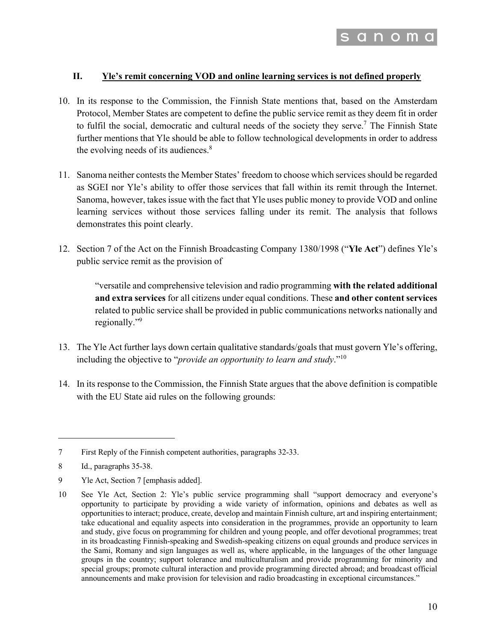

#### **II. Yle's remit concerning VOD and online learning services is not defined properly**

- 10. In its response to the Commission, the Finnish State mentions that, based on the Amsterdam Protocol, Member States are competent to define the public service remit as they deem fit in order to fulfil the social, democratic and cultural needs of the society they serve.<sup>7</sup> The Finnish State further mentions that Yle should be able to follow technological developments in order to address the evolving needs of its audiences. $8$
- 11. Sanoma neither contests the Member States' freedom to choose which services should be regarded as SGEI nor Yle's ability to offer those services that fall within its remit through the Internet. Sanoma, however, takes issue with the fact that Yle uses public money to provide VOD and online learning services without those services falling under its remit. The analysis that follows demonstrates this point clearly.
- 12. Section 7 of the Act on the Finnish Broadcasting Company 1380/1998 ("**Yle Act**") defines Yle's public service remit as the provision of

"versatile and comprehensive television and radio programming **with the related additional and extra services** for all citizens under equal conditions. These **and other content services** related to public service shall be provided in public communications networks nationally and regionally."<sup>9</sup>

- 13. The Yle Act further lays down certain qualitative standards/goals that must govern Yle's offering, including the objective to "*provide an opportunity to learn and study*."<sup>10</sup>
- 14. In its response to the Commission, the Finnish State argues that the above definition is compatible with the EU State aid rules on the following grounds:

<sup>7</sup> First Reply of the Finnish competent authorities, paragraphs 32-33.

<sup>8</sup> Id., paragraphs 35-38.

<sup>9</sup> Yle Act, Section 7 [emphasis added].

<sup>10</sup> See Yle Act, Section 2: Yle's public service programming shall "support democracy and everyone's opportunity to participate by providing a wide variety of information, opinions and debates as well as opportunities to interact; produce, create, develop and maintain Finnish culture, art and inspiring entertainment; take educational and equality aspects into consideration in the programmes, provide an opportunity to learn and study, give focus on programming for children and young people, and offer devotional programmes; treat in its broadcasting Finnish-speaking and Swedish-speaking citizens on equal grounds and produce services in the Sami, Romany and sign languages as well as, where applicable, in the languages of the other language groups in the country; support tolerance and multiculturalism and provide programming for minority and special groups; promote cultural interaction and provide programming directed abroad; and broadcast official announcements and make provision for television and radio broadcasting in exceptional circumstances."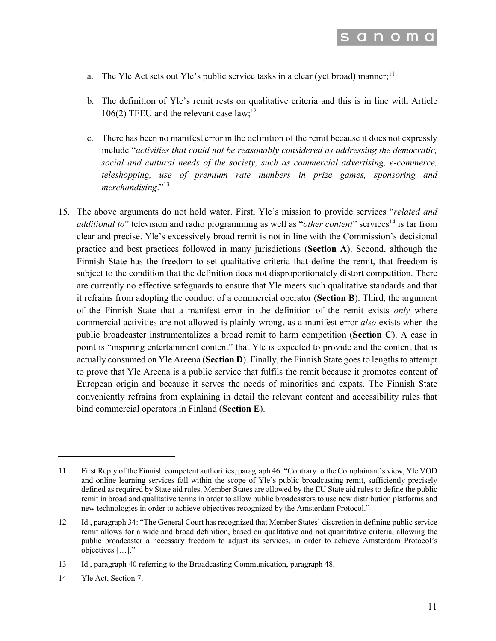

- a. The Yle Act sets out Yle's public service tasks in a clear (yet broad) manner;<sup>11</sup>
- b. The definition of Yle's remit rests on qualitative criteria and this is in line with Article 106(2) TFEU and the relevant case law;<sup>12</sup>
- c. There has been no manifest error in the definition of the remit because it does not expressly include "*activities that could not be reasonably considered as addressing the democratic, social and cultural needs of the society, such as commercial advertising, e-commerce, teleshopping, use of premium rate numbers in prize games, sponsoring and*  merchandising."<sup>13</sup>
- 15. The above arguments do not hold water. First, Yle's mission to provide services "*related and additional to*" television and radio programming as well as "*other content*" services<sup>14</sup> is far from clear and precise. Yle's excessively broad remit is not in line with the Commission's decisional practice and best practices followed in many jurisdictions (**Section A**). Second, although the Finnish State has the freedom to set qualitative criteria that define the remit, that freedom is subject to the condition that the definition does not disproportionately distort competition. There are currently no effective safeguards to ensure that Yle meets such qualitative standards and that it refrains from adopting the conduct of a commercial operator (**Section B**). Third, the argument of the Finnish State that a manifest error in the definition of the remit exists *only* where commercial activities are not allowed is plainly wrong, as a manifest error *also* exists when the public broadcaster instrumentalizes a broad remit to harm competition (**Section C**). A case in point is "inspiring entertainment content" that Yle is expected to provide and the content that is actually consumed on Yle Areena (**Section D**). Finally, the Finnish State goes to lengths to attempt to prove that Yle Areena is a public service that fulfils the remit because it promotes content of European origin and because it serves the needs of minorities and expats. The Finnish State conveniently refrains from explaining in detail the relevant content and accessibility rules that bind commercial operators in Finland (**Section E**).

<sup>11</sup> First Reply of the Finnish competent authorities, paragraph 46: "Contrary to the Complainant's view, Yle VOD and online learning services fall within the scope of Yle's public broadcasting remit, sufficiently precisely defined as required by State aid rules. Member States are allowed by the EU State aid rules to define the public remit in broad and qualitative terms in order to allow public broadcasters to use new distribution platforms and new technologies in order to achieve objectives recognized by the Amsterdam Protocol."

<sup>12</sup> Id., paragraph 34: "The General Court has recognized that Member States' discretion in defining public service remit allows for a wide and broad definition, based on qualitative and not quantitative criteria, allowing the public broadcaster a necessary freedom to adjust its services, in order to achieve Amsterdam Protocol's objectives […]."

<sup>13</sup> Id., paragraph 40 referring to the Broadcasting Communication, paragraph 48.

<sup>14</sup> Yle Act, Section 7.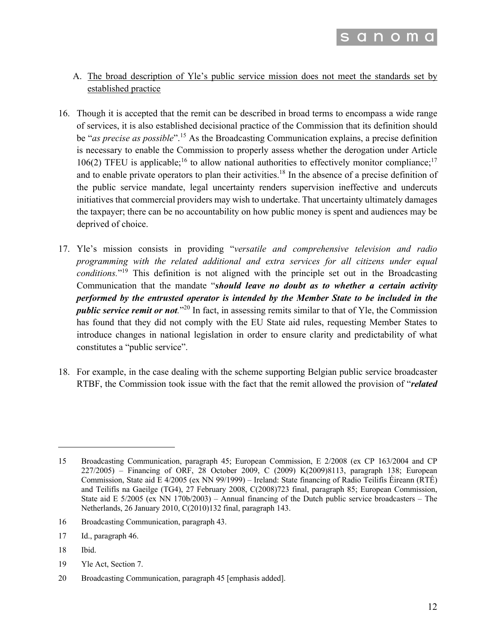

- A. The broad description of Yle's public service mission does not meet the standards set by established practice
- 16. Though it is accepted that the remit can be described in broad terms to encompass a wide range of services, it is also established decisional practice of the Commission that its definition should be "*as precise as possible*". <sup>15</sup> As the Broadcasting Communication explains, a precise definition is necessary to enable the Commission to properly assess whether the derogation under Article 106(2) TFEU is applicable;<sup>16</sup> to allow national authorities to effectively monitor compliance;<sup>17</sup> and to enable private operators to plan their activities.<sup>18</sup> In the absence of a precise definition of the public service mandate, legal uncertainty renders supervision ineffective and undercuts initiatives that commercial providers may wish to undertake. That uncertainty ultimately damages the taxpayer; there can be no accountability on how public money is spent and audiences may be deprived of choice.
- 17. Yle's mission consists in providing "*versatile and comprehensive television and radio programming with the related additional and extra services for all citizens under equal conditions.*"19 This definition is not aligned with the principle set out in the Broadcasting Communication that the mandate "*should leave no doubt as to whether a certain activity performed by the entrusted operator is intended by the Member State to be included in the public service remit or not.*"<sup>20</sup> In fact, in assessing remits similar to that of Yle, the Commission has found that they did not comply with the EU State aid rules, requesting Member States to introduce changes in national legislation in order to ensure clarity and predictability of what constitutes a "public service".
- 18. For example, in the case dealing with the scheme supporting Belgian public service broadcaster RTBF, the Commission took issue with the fact that the remit allowed the provision of "*related*

- 16 Broadcasting Communication, paragraph 43.
- 17 Id., paragraph 46.
- 18 Ibid.
- 19 Yle Act, Section 7.
- 20 Broadcasting Communication, paragraph 45 [emphasis added].

<sup>15</sup> Broadcasting Communication, paragraph 45; European Commission, E 2/2008 (ex CP 163/2004 and CP 227/2005) – Financing of ORF, 28 October 2009, C (2009) K(2009)8113, paragraph 138; European Commission, State aid E 4/2005 (ex NN 99/1999) – Ireland: State financing of Radio Teilifís Éireann (RTÉ) and Teilifís na Gaeilge (TG4), 27 February 2008, C(2008)723 final, paragraph 85; European Commission, State aid E 5/2005 (ex NN 170b/2003) – Annual financing of the Dutch public service broadcasters – The Netherlands, 26 January 2010, C(2010)132 final, paragraph 143.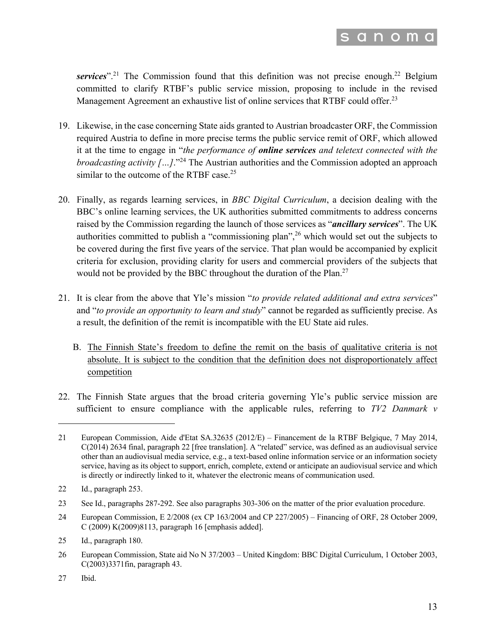

services".<sup>21</sup> The Commission found that this definition was not precise enough.<sup>22</sup> Belgium committed to clarify RTBF's public service mission, proposing to include in the revised Management Agreement an exhaustive list of online services that RTBF could offer.<sup>23</sup>

- 19. Likewise, in the case concerning State aids granted to Austrian broadcaster ORF, the Commission required Austria to define in more precise terms the public service remit of ORF, which allowed it at the time to engage in "*the performance of online services and teletext connected with the broadcasting activity […].*"<sup>24</sup> The Austrian authorities and the Commission adopted an approach similar to the outcome of the RTBF case.<sup>25</sup>
- 20. Finally, as regards learning services, in *BBC Digital Curriculum*, a decision dealing with the BBC's online learning services, the UK authorities submitted commitments to address concerns raised by the Commission regarding the launch of those services as "*ancillary services*". The UK authorities committed to publish a "commissioning plan",<sup>26</sup> which would set out the subjects to be covered during the first five years of the service. That plan would be accompanied by explicit criteria for exclusion, providing clarity for users and commercial providers of the subjects that would not be provided by the BBC throughout the duration of the Plan.<sup>27</sup>
- 21. It is clear from the above that Yle's mission "*to provide related additional and extra services*" and "*to provide an opportunity to learn and study*" cannot be regarded as sufficiently precise. As a result, the definition of the remit is incompatible with the EU State aid rules.
	- B. The Finnish State's freedom to define the remit on the basis of qualitative criteria is not absolute. It is subject to the condition that the definition does not disproportionately affect competition
- 22. The Finnish State argues that the broad criteria governing Yle's public service mission are sufficient to ensure compliance with the applicable rules, referring to *TV2 Danmark v*

27 Ibid.

<sup>21</sup> European Commission, Aide d'Etat SA.32635 (2012/E) – Financement de la RTBF Belgique, 7 May 2014, C(2014) 2634 final, paragraph 22 [free translation]. A "related" service, was defined as an audiovisual service other than an audiovisual media service, e.g., a text-based online information service or an information society service, having as its object to support, enrich, complete, extend or anticipate an audiovisual service and which is directly or indirectly linked to it, whatever the electronic means of communication used.

<sup>22</sup> Id., paragraph 253.

<sup>23</sup> See Id., paragraphs 287-292. See also paragraphs 303-306 on the matter of the prior evaluation procedure.

<sup>24</sup> European Commission, E 2/2008 (ex CP 163/2004 and CP 227/2005) – Financing of ORF, 28 October 2009, C (2009) K(2009)8113, paragraph 16 [emphasis added].

<sup>25</sup> Id., paragraph 180.

<sup>26</sup> European Commission, State aid No N 37/2003 – United Kingdom: BBC Digital Curriculum, 1 October 2003, C(2003)3371fin, paragraph 43.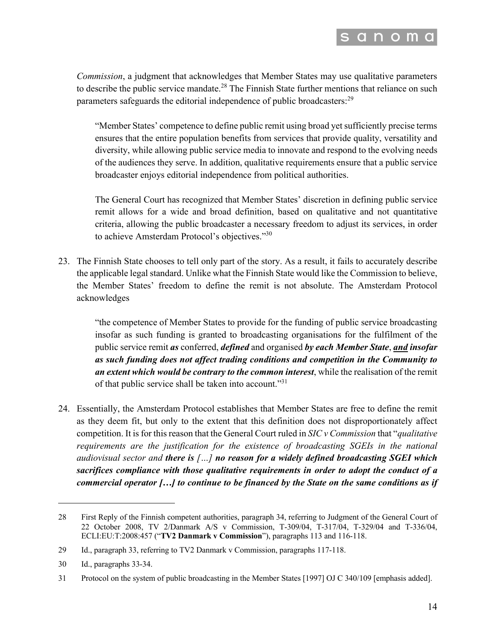

*Commission*, a judgment that acknowledges that Member States may use qualitative parameters to describe the public service mandate.<sup>28</sup> The Finnish State further mentions that reliance on such parameters safeguards the editorial independence of public broadcasters:<sup>29</sup>

"Member States' competence to define public remit using broad yet sufficiently precise terms ensures that the entire population benefits from services that provide quality, versatility and diversity, while allowing public service media to innovate and respond to the evolving needs of the audiences they serve. In addition, qualitative requirements ensure that a public service broadcaster enjoys editorial independence from political authorities.

The General Court has recognized that Member States' discretion in defining public service remit allows for a wide and broad definition, based on qualitative and not quantitative criteria, allowing the public broadcaster a necessary freedom to adjust its services, in order to achieve Amsterdam Protocol's objectives."30

23. The Finnish State chooses to tell only part of the story. As a result, it fails to accurately describe the applicable legal standard. Unlike what the Finnish State would like the Commission to believe, the Member States' freedom to define the remit is not absolute. The Amsterdam Protocol acknowledges

"the competence of Member States to provide for the funding of public service broadcasting insofar as such funding is granted to broadcasting organisations for the fulfilment of the public service remit *as* conferred, *defined* and organised *by each Member State*, *and insofar as such funding does not affect trading conditions and competition in the Community to an extent which would be contrary to the common interest*, while the realisation of the remit of that public service shall be taken into account."31

24. Essentially, the Amsterdam Protocol establishes that Member States are free to define the remit as they deem fit, but only to the extent that this definition does not disproportionately affect competition. It is for this reason that the General Court ruled in *SIC v Commission* that "*qualitative requirements are the justification for the existence of broadcasting SGEIs in the national audiovisual sector and there is […] no reason for a widely defined broadcasting SGEI which sacrifices compliance with those qualitative requirements in order to adopt the conduct of a commercial operator […] to continue to be financed by the State on the same conditions as if* 

<sup>28</sup> First Reply of the Finnish competent authorities, paragraph 34, referring to Judgment of the General Court of 22 October 2008, TV 2/Danmark A/S v Commission, T-309/04, T-317/04, T-329/04 and T-336/04, ECLI:EU:T:2008:457 ("**TV2 Danmark v Commission**"), paragraphs 113 and 116-118.

<sup>29</sup> Id., paragraph 33, referring to TV2 Danmark v Commission, paragraphs 117-118.

<sup>30</sup> Id., paragraphs 33-34.

<sup>31</sup> Protocol on the system of public broadcasting in the Member States [1997] OJ C 340/109 [emphasis added].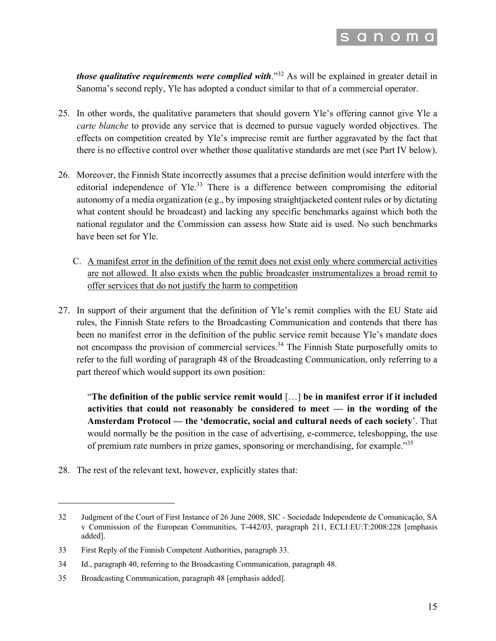

*those qualitative requirements were complied with.*<sup>32</sup> As will be explained in greater detail in Sanoma's second reply, Yle has adopted a conduct similar to that of a commercial operator.

- 25. In other words, the qualitative parameters that should govern Yle's offering cannot give Yle a *carte blanche* to provide any service that is deemed to pursue vaguely worded objectives. The effects on competition created by Yle's imprecise remit are further aggravated by the fact that there is no effective control over whether those qualitative standards are met (see Part IV below).
- 26. Moreover, the Finnish State incorrectly assumes that a precise definition would interfere with the editorial independence of Yle.<sup>33</sup> There is a difference between compromising the editorial autonomy of a media organization (e.g., by imposing straightjacketed content rules or by dictating what content should be broadcast) and lacking any specific benchmarks against which both the national regulator and the Commission can assess how State aid is used. No such benchmarks have been set for Yle.
	- C. A manifest error in the definition of the remit does not exist only where commercial activities are not allowed. It also exists when the public broadcaster instrumentalizes a broad remit to offer services that do not justify the harm to competition
- 27. In support of their argument that the definition of Yle's remit complies with the EU State aid rules, the Finnish State refers to the Broadcasting Communication and contends that there has been no manifest error in the definition of the public service remit because Yle's mandate does not encompass the provision of commercial services.<sup>34</sup> The Finnish State purposefully omits to refer to the full wording of paragraph 48 of the Broadcasting Communication, only referring to a part thereof which would support its own position:

"**The definition of the public service remit would** […] **be in manifest error if it included activities that could not reasonably be considered to meet — in the wording of the Amsterdam Protocol — the 'democratic, social and cultural needs of each society**'. That would normally be the position in the case of advertising, e-commerce, teleshopping, the use of premium rate numbers in prize games, sponsoring or merchandising, for example."35

28. The rest of the relevant text, however, explicitly states that:

<sup>32</sup> Judgment of the Court of First Instance of 26 June 2008, SIC - Sociedade Independente de Comunicação, SA v Commission of the European Communities, T-442/03, paragraph 211, ECLI:EU:T:2008:228 [emphasis added].

<sup>33</sup> First Reply of the Finnish Competent Authorities, paragraph 33.

<sup>34</sup> Id., paragraph 40, referring to the Broadcasting Communication, paragraph 48.

<sup>35</sup> Broadcasting Communication, paragraph 48 [emphasis added].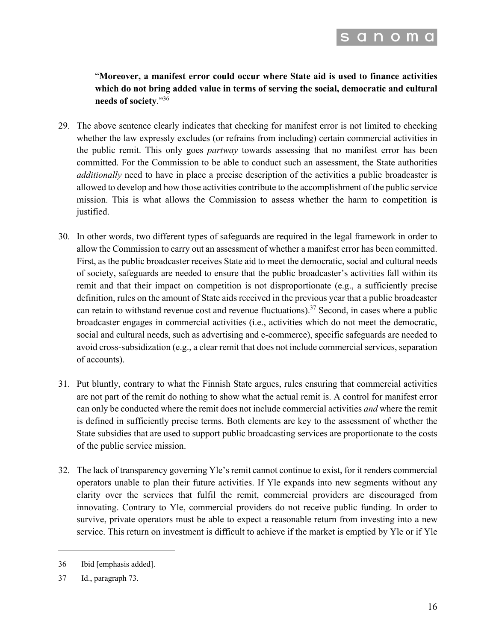

"**Moreover, a manifest error could occur where State aid is used to finance activities which do not bring added value in terms of serving the social, democratic and cultural needs of society**."36

- 29. The above sentence clearly indicates that checking for manifest error is not limited to checking whether the law expressly excludes (or refrains from including) certain commercial activities in the public remit. This only goes *partway* towards assessing that no manifest error has been committed. For the Commission to be able to conduct such an assessment, the State authorities *additionally* need to have in place a precise description of the activities a public broadcaster is allowed to develop and how those activities contribute to the accomplishment of the public service mission. This is what allows the Commission to assess whether the harm to competition is justified.
- 30. In other words, two different types of safeguards are required in the legal framework in order to allow the Commission to carry out an assessment of whether a manifest error has been committed. First, as the public broadcaster receives State aid to meet the democratic, social and cultural needs of society, safeguards are needed to ensure that the public broadcaster's activities fall within its remit and that their impact on competition is not disproportionate (e.g., a sufficiently precise definition, rules on the amount of State aids received in the previous year that a public broadcaster can retain to withstand revenue cost and revenue fluctuations).<sup>37</sup> Second, in cases where a public broadcaster engages in commercial activities (i.e., activities which do not meet the democratic, social and cultural needs, such as advertising and e-commerce), specific safeguards are needed to avoid cross-subsidization (e.g., a clear remit that does not include commercial services, separation of accounts).
- 31. Put bluntly, contrary to what the Finnish State argues, rules ensuring that commercial activities are not part of the remit do nothing to show what the actual remit is. A control for manifest error can only be conducted where the remit does not include commercial activities *and* where the remit is defined in sufficiently precise terms. Both elements are key to the assessment of whether the State subsidies that are used to support public broadcasting services are proportionate to the costs of the public service mission.
- 32. The lack of transparency governing Yle's remit cannot continue to exist, for it renders commercial operators unable to plan their future activities. If Yle expands into new segments without any clarity over the services that fulfil the remit, commercial providers are discouraged from innovating. Contrary to Yle, commercial providers do not receive public funding. In order to survive, private operators must be able to expect a reasonable return from investing into a new service. This return on investment is difficult to achieve if the market is emptied by Yle or if Yle

<sup>36</sup> Ibid [emphasis added].

<sup>37</sup> Id., paragraph 73.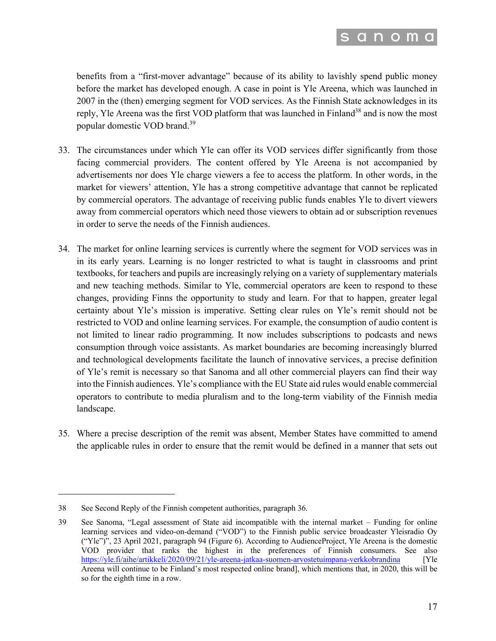

benefits from a "first-mover advantage" because of its ability to lavishly spend public money before the market has developed enough. A case in point is Yle Areena, which was launched in 2007 in the (then) emerging segment for VOD services. As the Finnish State acknowledges in its reply, Yle Areena was the first VOD platform that was launched in Finland<sup>38</sup> and is now the most popular domestic VOD brand.<sup>39</sup>

- 33. The circumstances under which Yle can offer its VOD services differ significantly from those facing commercial providers. The content offered by Yle Areena is not accompanied by advertisements nor does Yle charge viewers a fee to access the platform. In other words, in the market for viewers' attention, Yle has a strong competitive advantage that cannot be replicated by commercial operators. The advantage of receiving public funds enables Yle to divert viewers away from commercial operators which need those viewers to obtain ad or subscription revenues in order to serve the needs of the Finnish audiences.
- 34. The market for online learning services is currently where the segment for VOD services was in in its early years. Learning is no longer restricted to what is taught in classrooms and print textbooks, for teachers and pupils are increasingly relying on a variety of supplementary materials and new teaching methods. Similar to Yle, commercial operators are keen to respond to these changes, providing Finns the opportunity to study and learn. For that to happen, greater legal certainty about Yle's mission is imperative. Setting clear rules on Yle's remit should not be restricted to VOD and online learning services. For example, the consumption of audio content is not limited to linear radio programming. It now includes subscriptions to podcasts and news consumption through voice assistants. As market boundaries are becoming increasingly blurred and technological developments facilitate the launch of innovative services, a precise definition of Yle's remit is necessary so that Sanoma and all other commercial players can find their way into the Finnish audiences. Yle's compliance with the EU State aid rules would enable commercial operators to contribute to media pluralism and to the long-term viability of the Finnish media landscape.
- 35. Where a precise description of the remit was absent, Member States have committed to amend the applicable rules in order to ensure that the remit would be defined in a manner that sets out

<sup>38</sup> See Second Reply of the Finnish competent authorities, paragraph 36.

<sup>39</sup> See Sanoma, "Legal assessment of State aid incompatible with the internal market – Funding for online learning services and video-on-demand ("VOD") to the Finnish public service broadcaster Yleisradio Oy ("Yle")", 23 April 2021, paragraph 94 (Figure 6). According to AudienceProject, Yle Areena is the domestic VOD provider that ranks the highest in the preferences of Finnish consumers. See also https://yle.fi/aihe/artikkeli/2020/09/21/yle-areena-jatkaa-suomen-arvostetuimpana-verkkobrandina [Yle Areena will continue to be Finland's most respected online brand], which mentions that, in 2020, this will be so for the eighth time in a row.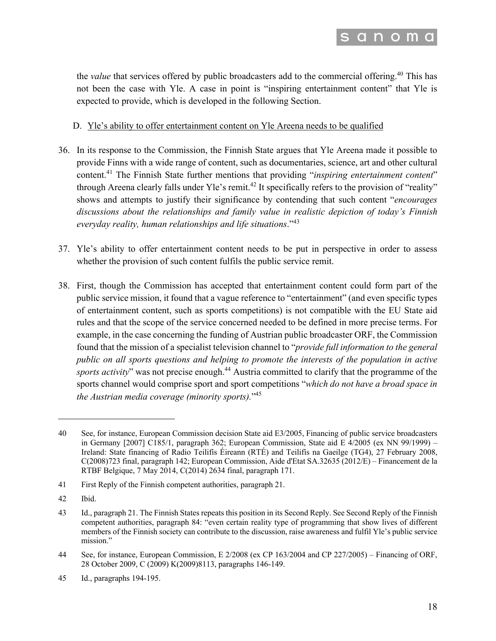

the *value* that services offered by public broadcasters add to the commercial offering.<sup>40</sup> This has not been the case with Yle. A case in point is "inspiring entertainment content" that Yle is expected to provide, which is developed in the following Section.

#### D. Yle's ability to offer entertainment content on Yle Areena needs to be qualified

- 36. In its response to the Commission, the Finnish State argues that Yle Areena made it possible to provide Finns with a wide range of content, such as documentaries, science, art and other cultural content.<sup>41</sup> The Finnish State further mentions that providing "*inspiring entertainment content*" through Areena clearly falls under Yle's remit.<sup>42</sup> It specifically refers to the provision of "reality" shows and attempts to justify their significance by contending that such content "*encourages discussions about the relationships and family value in realistic depiction of today's Finnish everyday reality, human relationships and life situations*."<sup>43</sup>
- 37. Yle's ability to offer entertainment content needs to be put in perspective in order to assess whether the provision of such content fulfils the public service remit.
- 38. First, though the Commission has accepted that entertainment content could form part of the public service mission, it found that a vague reference to "entertainment" (and even specific types of entertainment content, such as sports competitions) is not compatible with the EU State aid rules and that the scope of the service concerned needed to be defined in more precise terms. For example, in the case concerning the funding of Austrian public broadcaster ORF, the Commission found that the mission of a specialist television channel to "*provide full information to the general public on all sports questions and helping to promote the interests of the population in active sports activity*" was not precise enough. <sup>44</sup> Austria committed to clarify that the programme of the sports channel would comprise sport and sport competitions "*which do not have a broad space in the Austrian media coverage (minority sports).*"45

<sup>40</sup> See, for instance, European Commission decision State aid E3/2005, Financing of public service broadcasters in Germany [2007] C185/1, paragraph 362; European Commission, State aid E 4/2005 (ex NN 99/1999) – Ireland: State financing of Radio Teilifís Éireann (RTÉ) and Teilifís na Gaeilge (TG4), 27 February 2008, C(2008)723 final, paragraph 142; European Commission, Aide d'Etat SA.32635 (2012/E) – Financement de la RTBF Belgique, 7 May 2014, C(2014) 2634 final, paragraph 171.

<sup>41</sup> First Reply of the Finnish competent authorities, paragraph 21.

<sup>42</sup> Ibid.

<sup>43</sup> Id., paragraph 21. The Finnish States repeats this position in its Second Reply. See Second Reply of the Finnish competent authorities, paragraph 84: "even certain reality type of programming that show lives of different members of the Finnish society can contribute to the discussion, raise awareness and fulfil Yle's public service mission."

<sup>44</sup> See, for instance, European Commission, E 2/2008 (ex CP 163/2004 and CP 227/2005) – Financing of ORF, 28 October 2009, C (2009) K(2009)8113, paragraphs 146-149.

<sup>45</sup> Id., paragraphs 194-195.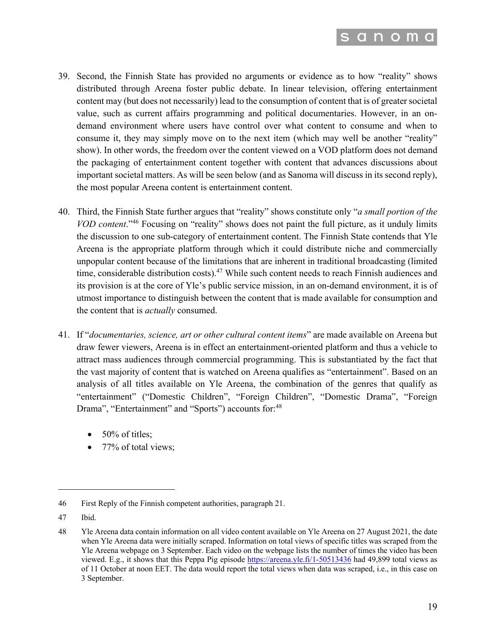

- 39. Second, the Finnish State has provided no arguments or evidence as to how "reality" shows distributed through Areena foster public debate. In linear television, offering entertainment content may (but does not necessarily) lead to the consumption of content that is of greater societal value, such as current affairs programming and political documentaries. However, in an ondemand environment where users have control over what content to consume and when to consume it, they may simply move on to the next item (which may well be another "reality" show). In other words, the freedom over the content viewed on a VOD platform does not demand the packaging of entertainment content together with content that advances discussions about important societal matters. As will be seen below (and as Sanoma will discuss in its second reply), the most popular Areena content is entertainment content.
- 40. Third, the Finnish State further argues that "reality" shows constitute only "*a small portion of the VOD content*."<sup>46</sup> Focusing on "reality" shows does not paint the full picture, as it unduly limits the discussion to one sub-category of entertainment content. The Finnish State contends that Yle Areena is the appropriate platform through which it could distribute niche and commercially unpopular content because of the limitations that are inherent in traditional broadcasting (limited time, considerable distribution costs).<sup>47</sup> While such content needs to reach Finnish audiences and its provision is at the core of Yle's public service mission, in an on-demand environment, it is of utmost importance to distinguish between the content that is made available for consumption and the content that is *actually* consumed.
- 41. If "*documentaries, science, art or other cultural content items*" are made available on Areena but draw fewer viewers, Areena is in effect an entertainment-oriented platform and thus a vehicle to attract mass audiences through commercial programming. This is substantiated by the fact that the vast majority of content that is watched on Areena qualifies as "entertainment". Based on an analysis of all titles available on Yle Areena, the combination of the genres that qualify as "entertainment" ("Domestic Children", "Foreign Children", "Domestic Drama", "Foreign Drama", "Entertainment" and "Sports") accounts for:<sup>48</sup>
	- $\bullet$  50% of titles:
	- 77% of total views;

<sup>46</sup> First Reply of the Finnish competent authorities, paragraph 21.

<sup>47</sup> Ibid.

<sup>48</sup> Yle Areena data contain information on all video content available on Yle Areena on 27 August 2021, the date when Yle Areena data were initially scraped. Information on total views of specific titles was scraped from the Yle Areena webpage on 3 September. Each video on the webpage lists the number of times the video has been viewed. E.g., it shows that this Peppa Pig episode https://areena.yle.fi/1-50513436 had 49,899 total views as of 11 October at noon EET. The data would report the total views when data was scraped, i.e., in this case on 3 September.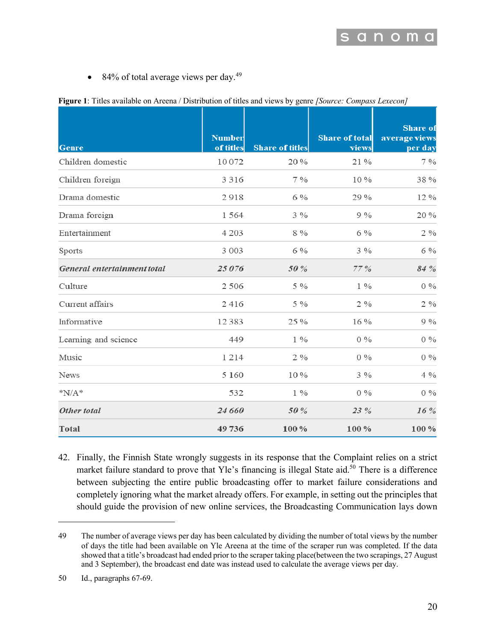• 84% of total average views per day. $49$ 

|                             |                            |                        | $\frac{1}{2}$ compass and $\frac{1}{2}$ come point $\frac{1}{2}$ . Compass Exaction |                                             |  |
|-----------------------------|----------------------------|------------------------|-------------------------------------------------------------------------------------|---------------------------------------------|--|
| <b>Genre</b>                | <b>Number</b><br>of titles | <b>Share of titles</b> | <b>Share of total</b><br>views                                                      | <b>Share</b> of<br>average views<br>per day |  |
| Children domestic           | 10072                      | 20%                    | 21%                                                                                 | 7%                                          |  |
| Children foreign            | 3 3 1 6                    | 7%                     | 10%                                                                                 | 38%                                         |  |
| Drama domestic              | 2918                       | 6 %                    | 29 %                                                                                | 12%                                         |  |
| Drama foreign               | 1564                       | $3\%$                  | 9%                                                                                  | 20%                                         |  |
| Entertainment               | 4 2 0 3                    | 8 %                    | 6 %                                                                                 | $2\%$                                       |  |
| Sports                      | 3 0 0 3                    | 6 %                    | $3\%$                                                                               | 6 %                                         |  |
| General entertainment total | 25076                      | 50%                    | 77%                                                                                 | 84 %                                        |  |
| Culture                     | 2 5 0 6                    | 5 %                    | $1\%$                                                                               | $0\%$                                       |  |
| Current affairs             | 2416                       | 5 %                    | $2\%$                                                                               | $2\%$                                       |  |
| Informative                 | 12383                      | 25 %                   | 16%                                                                                 | 9%                                          |  |
| Learning and science        | 449                        | $1\%$                  | $0\%$                                                                               | $0\%$                                       |  |
| Music                       | 1214                       | $2\%$                  | $0\%$                                                                               | $0\%$                                       |  |
| News                        | 5 1 6 0                    | 10%                    | $3\%$                                                                               | 4 %                                         |  |
| $N/A^*$                     | 532                        | $1\%$                  | $0\%$                                                                               | $0\%$                                       |  |
| Other total                 | 24 660                     | 50%                    | 23 %                                                                                | 16%                                         |  |
| <b>Total</b>                | 49736                      | 100%                   | 100%                                                                                | 100%                                        |  |

| Figure 1: Titles available on Areena / Distribution of titles and views by genre [Source: Compass Lexecon] |  |  |  |
|------------------------------------------------------------------------------------------------------------|--|--|--|
|                                                                                                            |  |  |  |

42. Finally, the Finnish State wrongly suggests in its response that the Complaint relies on a strict market failure standard to prove that Yle's financing is illegal State aid.<sup>50</sup> There is a difference between subjecting the entire public broadcasting offer to market failure considerations and completely ignoring what the market already offers. For example, in setting out the principles that should guide the provision of new online services, the Broadcasting Communication lays down

<sup>49</sup> The number of average views per day has been calculated by dividing the number of total views by the number of days the title had been available on Yle Areena at the time of the scraper run was completed. If the data showed that a title's broadcast had ended prior to the scraper taking place(between the two scrapings, 27 August and 3 September), the broadcast end date was instead used to calculate the average views per day.

<sup>50</sup> Id., paragraphs 67-69.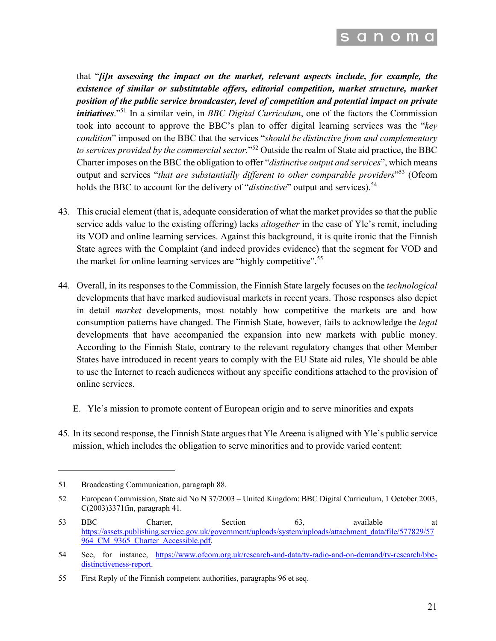

that "*[i]n assessing the impact on the market, relevant aspects include, for example, the existence of similar or substitutable offers, editorial competition, market structure, market position of the public service broadcaster, level of competition and potential impact on private initiatives.*"<sup>51</sup> In a similar vein, in *BBC Digital Curriculum*, one of the factors the Commission took into account to approve the BBC's plan to offer digital learning services was the "*key condition*" imposed on the BBC that the services "*should be distinctive from and complementary to services provided by the commercial sector.*"<sup>52</sup> Outside the realm of State aid practice, the BBC Charter imposes on the BBC the obligation to offer "*distinctive output and services*", which means output and services "*that are substantially different to other comparable providers*"<sup>53</sup> (Ofcom holds the BBC to account for the delivery of "*distinctive*" output and services).<sup>54</sup>

- 43. This crucial element (that is, adequate consideration of what the market provides so that the public service adds value to the existing offering) lacks *altogether* in the case of Yle's remit, including its VOD and online learning services. Against this background, it is quite ironic that the Finnish State agrees with the Complaint (and indeed provides evidence) that the segment for VOD and the market for online learning services are "highly competitive".<sup>55</sup>
- 44. Overall, in its responses to the Commission, the Finnish State largely focuses on the *technological*  developments that have marked audiovisual markets in recent years. Those responses also depict in detail *market* developments, most notably how competitive the markets are and how consumption patterns have changed. The Finnish State, however, fails to acknowledge the *legal* developments that have accompanied the expansion into new markets with public money. According to the Finnish State, contrary to the relevant regulatory changes that other Member States have introduced in recent years to comply with the EU State aid rules, Yle should be able to use the Internet to reach audiences without any specific conditions attached to the provision of online services.

#### E. Yle's mission to promote content of European origin and to serve minorities and expats

45. In its second response, the Finnish State argues that Yle Areena is aligned with Yle's public service mission, which includes the obligation to serve minorities and to provide varied content:

<sup>51</sup> Broadcasting Communication, paragraph 88.

<sup>52</sup> European Commission, State aid No N 37/2003 – United Kingdom: BBC Digital Curriculum, 1 October 2003, C(2003)3371fin, paragraph 41.

<sup>53</sup> BBC Charter, Section 63, available at https://assets.publishing.service.gov.uk/government/uploads/system/uploads/attachment\_data/file/577829/57 964 CM 9365 Charter Accessible.pdf.

<sup>54</sup> See, for instance, https://www.ofcom.org.uk/research-and-data/tv-radio-and-on-demand/tv-research/bbcdistinctiveness-report.

<sup>55</sup> First Reply of the Finnish competent authorities, paragraphs 96 et seq.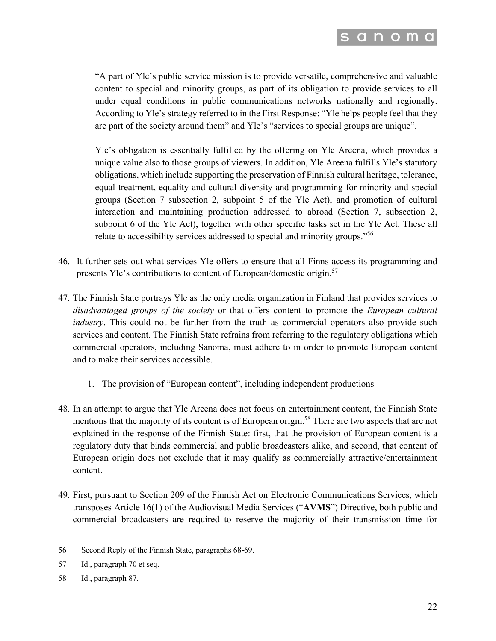

"A part of Yle's public service mission is to provide versatile, comprehensive and valuable content to special and minority groups, as part of its obligation to provide services to all under equal conditions in public communications networks nationally and regionally. According to Yle's strategy referred to in the First Response: "Yle helps people feel that they are part of the society around them" and Yle's "services to special groups are unique".

Yle's obligation is essentially fulfilled by the offering on Yle Areena, which provides a unique value also to those groups of viewers. In addition, Yle Areena fulfills Yle's statutory obligations, which include supporting the preservation of Finnish cultural heritage, tolerance, equal treatment, equality and cultural diversity and programming for minority and special groups (Section 7 subsection 2, subpoint 5 of the Yle Act), and promotion of cultural interaction and maintaining production addressed to abroad (Section 7, subsection 2, subpoint 6 of the Yle Act), together with other specific tasks set in the Yle Act. These all relate to accessibility services addressed to special and minority groups."<sup>56</sup>

- 46. It further sets out what services Yle offers to ensure that all Finns access its programming and presents Yle's contributions to content of European/domestic origin.<sup>57</sup>
- 47. The Finnish State portrays Yle as the only media organization in Finland that provides services to *disadvantaged groups of the society* or that offers content to promote the *European cultural industry*. This could not be further from the truth as commercial operators also provide such services and content. The Finnish State refrains from referring to the regulatory obligations which commercial operators, including Sanoma, must adhere to in order to promote European content and to make their services accessible.
	- 1. The provision of "European content", including independent productions
- 48. In an attempt to argue that Yle Areena does not focus on entertainment content, the Finnish State mentions that the majority of its content is of European origin.<sup>58</sup> There are two aspects that are not explained in the response of the Finnish State: first, that the provision of European content is a regulatory duty that binds commercial and public broadcasters alike, and second, that content of European origin does not exclude that it may qualify as commercially attractive/entertainment content.
- 49. First, pursuant to Section 209 of the Finnish Act on Electronic Communications Services, which transposes Article 16(1) of the Audiovisual Media Services ("**AVMS**") Directive, both public and commercial broadcasters are required to reserve the majority of their transmission time for

<sup>56</sup> Second Reply of the Finnish State, paragraphs 68-69.

<sup>57</sup> Id., paragraph 70 et seq.

<sup>58</sup> Id., paragraph 87.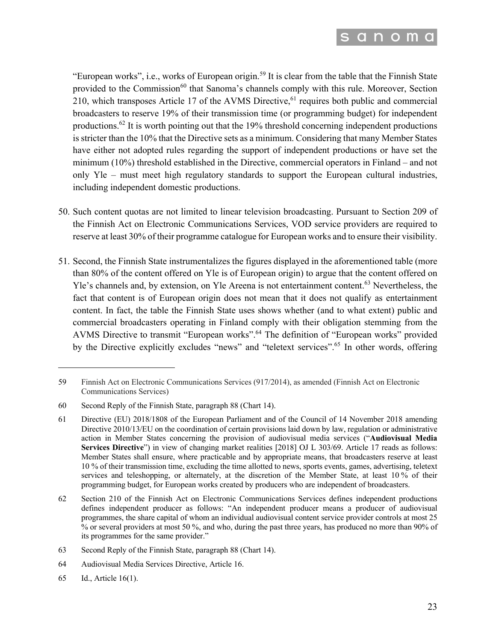

"European works", i.e., works of European origin.<sup>59</sup> It is clear from the table that the Finnish State provided to the Commission<sup>60</sup> that Sanoma's channels comply with this rule. Moreover, Section 210, which transposes Article 17 of the AVMS Directive,  $61$  requires both public and commercial broadcasters to reserve 19% of their transmission time (or programming budget) for independent productions.<sup>62</sup> It is worth pointing out that the 19% threshold concerning independent productions is stricter than the 10% that the Directive sets as a minimum. Considering that many Member States have either not adopted rules regarding the support of independent productions or have set the minimum (10%) threshold established in the Directive, commercial operators in Finland – and not only Yle – must meet high regulatory standards to support the European cultural industries, including independent domestic productions.

- 50. Such content quotas are not limited to linear television broadcasting. Pursuant to Section 209 of the Finnish Act on Electronic Communications Services, VOD service providers are required to reserve at least 30% of their programme catalogue for European works and to ensure their visibility.
- 51. Second, the Finnish State instrumentalizes the figures displayed in the aforementioned table (more than 80% of the content offered on Yle is of European origin) to argue that the content offered on Yle's channels and, by extension, on Yle Areena is not entertainment content.<sup>63</sup> Nevertheless, the fact that content is of European origin does not mean that it does not qualify as entertainment content. In fact, the table the Finnish State uses shows whether (and to what extent) public and commercial broadcasters operating in Finland comply with their obligation stemming from the AVMS Directive to transmit "European works". <sup>64</sup> The definition of "European works" provided by the Directive explicitly excludes "news" and "teletext services".<sup>65</sup> In other words, offering

<sup>59</sup> Finnish Act on Electronic Communications Services (917/2014), as amended (Finnish Act on Electronic Communications Services)

<sup>60</sup> Second Reply of the Finnish State, paragraph 88 (Chart 14).

<sup>61</sup> Directive (EU) 2018/1808 of the European Parliament and of the Council of 14 November 2018 amending Directive 2010/13/EU on the coordination of certain provisions laid down by law, regulation or administrative action in Member States concerning the provision of audiovisual media services ("**Audiovisual Media Services Directive**") in view of changing market realities [2018] OJ L 303/69. Article 17 reads as follows: Member States shall ensure, where practicable and by appropriate means, that broadcasters reserve at least 10 % of their transmission time, excluding the time allotted to news, sports events, games, advertising, teletext services and teleshopping, or alternately, at the discretion of the Member State, at least 10 % of their programming budget, for European works created by producers who are independent of broadcasters.

<sup>62</sup> Section 210 of the Finnish Act on Electronic Communications Services defines independent productions defines independent producer as follows: "An independent producer means a producer of audiovisual programmes, the share capital of whom an individual audiovisual content service provider controls at most 25 % or several providers at most 50 %, and who, during the past three years, has produced no more than 90% of its programmes for the same provider."

<sup>63</sup> Second Reply of the Finnish State, paragraph 88 (Chart 14).

<sup>64</sup> Audiovisual Media Services Directive, Article 16.

<sup>65</sup> Id., Article 16(1).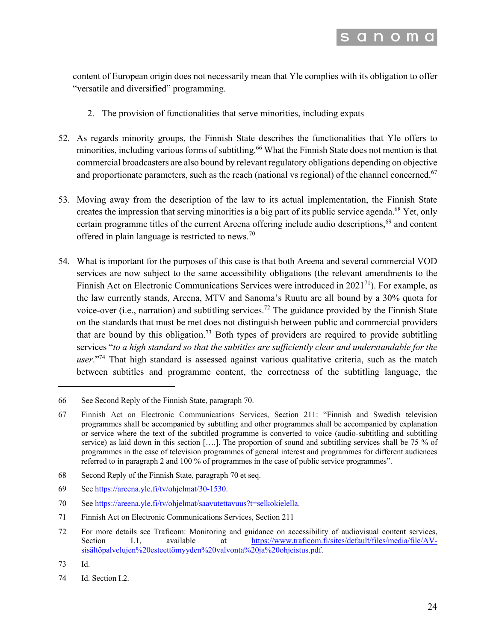

content of European origin does not necessarily mean that Yle complies with its obligation to offer "versatile and diversified" programming.

- 2. The provision of functionalities that serve minorities, including expats
- 52. As regards minority groups, the Finnish State describes the functionalities that Yle offers to minorities, including various forms of subtitling.<sup>66</sup> What the Finnish State does not mention is that commercial broadcasters are also bound by relevant regulatory obligations depending on objective and proportionate parameters, such as the reach (national vs regional) of the channel concerned.<sup>67</sup>
- 53. Moving away from the description of the law to its actual implementation, the Finnish State creates the impression that serving minorities is a big part of its public service agenda.<sup>68</sup> Yet, only certain programme titles of the current Areena offering include audio descriptions,<sup>69</sup> and content offered in plain language is restricted to news.<sup>70</sup>
- 54. What is important for the purposes of this case is that both Areena and several commercial VOD services are now subject to the same accessibility obligations (the relevant amendments to the Finnish Act on Electronic Communications Services were introduced in  $2021<sup>71</sup>$ ). For example, as the law currently stands, Areena, MTV and Sanoma's Ruutu are all bound by a 30% quota for voice-over (i.e., narration) and subtitling services.<sup>72</sup> The guidance provided by the Finnish State on the standards that must be met does not distinguish between public and commercial providers that are bound by this obligation.<sup>73</sup> Both types of providers are required to provide subtitling services "*to a high standard so that the subtitles are sufficiently clear and understandable for the user*."74 That high standard is assessed against various qualitative criteria, such as the match between subtitles and programme content, the correctness of the subtitling language, the

68 Second Reply of the Finnish State, paragraph 70 et seq.

70 See https://areena.yle.fi/tv/ohjelmat/saavutettavuus?t=selkokielella.

72 For more details see Traficom: Monitoring and guidance on accessibility of audiovisual content services, Section I.1, available at https://www.traficom.fi/sites/default/files/media/file/AVsisältöpalvelujen%20esteettömyyden%20valvonta%20ja%20ohjeistus.pdf.

74 Id. Section I.2.

<sup>66</sup> See Second Reply of the Finnish State, paragraph 70.

<sup>67</sup> Finnish Act on Electronic Communications Services, Section 211: "Finnish and Swedish television programmes shall be accompanied by subtitling and other programmes shall be accompanied by explanation or service where the text of the subtitled programme is converted to voice (audio-subtitling and subtitling service) as laid down in this section [….]. The proportion of sound and subtitling services shall be 75 % of programmes in the case of television programmes of general interest and programmes for different audiences referred to in paragraph 2 and 100 % of programmes in the case of public service programmes".

<sup>69</sup> See https://areena.yle.fi/tv/ohjelmat/30-1530.

<sup>71</sup> Finnish Act on Electronic Communications Services, Section 211

<sup>73</sup> Id.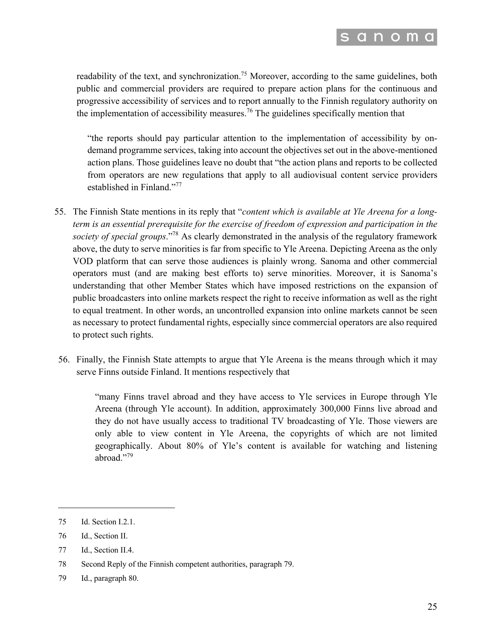

readability of the text, and synchronization.<sup>75</sup> Moreover, according to the same guidelines, both public and commercial providers are required to prepare action plans for the continuous and progressive accessibility of services and to report annually to the Finnish regulatory authority on the implementation of accessibility measures.<sup>76</sup> The guidelines specifically mention that

"the reports should pay particular attention to the implementation of accessibility by ondemand programme services, taking into account the objectives set out in the above-mentioned action plans. Those guidelines leave no doubt that "the action plans and reports to be collected from operators are new regulations that apply to all audiovisual content service providers established in Finland."<sup>77</sup>

- 55. The Finnish State mentions in its reply that "*content which is available at Yle Areena for a longterm is an essential prerequisite for the exercise of freedom of expression and participation in the society of special groups*."78 As clearly demonstrated in the analysis of the regulatory framework above, the duty to serve minorities is far from specific to Yle Areena. Depicting Areena as the only VOD platform that can serve those audiences is plainly wrong. Sanoma and other commercial operators must (and are making best efforts to) serve minorities. Moreover, it is Sanoma's understanding that other Member States which have imposed restrictions on the expansion of public broadcasters into online markets respect the right to receive information as well as the right to equal treatment. In other words, an uncontrolled expansion into online markets cannot be seen as necessary to protect fundamental rights, especially since commercial operators are also required to protect such rights.
- 56. Finally, the Finnish State attempts to argue that Yle Areena is the means through which it may serve Finns outside Finland. It mentions respectively that

"many Finns travel abroad and they have access to Yle services in Europe through Yle Areena (through Yle account). In addition, approximately 300,000 Finns live abroad and they do not have usually access to traditional TV broadcasting of Yle. Those viewers are only able to view content in Yle Areena, the copyrights of which are not limited geographically. About 80% of Yle's content is available for watching and listening abroad."<sup>79</sup>

<sup>75</sup> Id. Section I.2.1.

<sup>76</sup> Id., Section II.

<sup>77</sup> Id., Section II.4.

<sup>78</sup> Second Reply of the Finnish competent authorities, paragraph 79.

<sup>79</sup> Id., paragraph 80.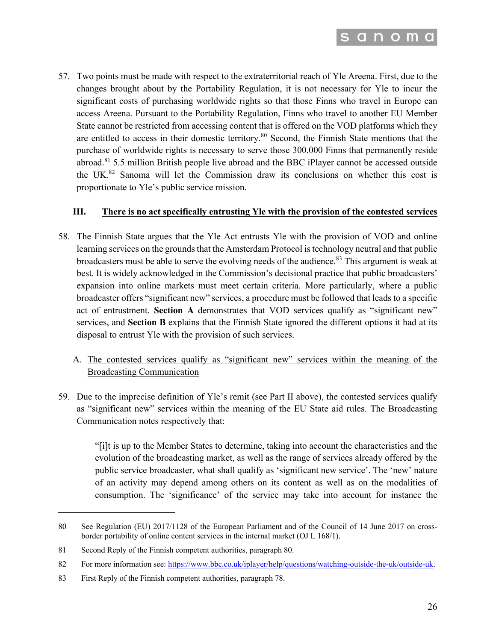

57. Two points must be made with respect to the extraterritorial reach of Yle Areena. First, due to the changes brought about by the Portability Regulation, it is not necessary for Yle to incur the significant costs of purchasing worldwide rights so that those Finns who travel in Europe can access Areena. Pursuant to the Portability Regulation, Finns who travel to another EU Member State cannot be restricted from accessing content that is offered on the VOD platforms which they are entitled to access in their domestic territory.<sup>80</sup> Second, the Finnish State mentions that the purchase of worldwide rights is necessary to serve those 300.000 Finns that permanently reside abroad.<sup>81</sup> 5.5 million British people live abroad and the BBC iPlayer cannot be accessed outside the UK.<sup>82</sup> Sanoma will let the Commission draw its conclusions on whether this cost is proportionate to Yle's public service mission.

#### **III. There is no act specifically entrusting Yle with the provision of the contested services**

- 58. The Finnish State argues that the Yle Act entrusts Yle with the provision of VOD and online learning services on the grounds that the Amsterdam Protocol is technology neutral and that public broadcasters must be able to serve the evolving needs of the audience.<sup>83</sup> This argument is weak at best. It is widely acknowledged in the Commission's decisional practice that public broadcasters' expansion into online markets must meet certain criteria. More particularly, where a public broadcaster offers "significant new" services, a procedure must be followed that leads to a specific act of entrustment. **Section A** demonstrates that VOD services qualify as "significant new" services, and **Section B** explains that the Finnish State ignored the different options it had at its disposal to entrust Yle with the provision of such services.
	- A. The contested services qualify as "significant new" services within the meaning of the Broadcasting Communication
- 59. Due to the imprecise definition of Yle's remit (see Part II above), the contested services qualify as "significant new" services within the meaning of the EU State aid rules. The Broadcasting Communication notes respectively that:

"[i]t is up to the Member States to determine, taking into account the characteristics and the evolution of the broadcasting market, as well as the range of services already offered by the public service broadcaster, what shall qualify as 'significant new service'. The 'new' nature of an activity may depend among others on its content as well as on the modalities of consumption. The 'significance' of the service may take into account for instance the

<sup>80</sup> See Regulation (EU) 2017/1128 of the European Parliament and of the Council of 14 June 2017 on crossborder portability of online content services in the internal market (OJ L 168/1).

<sup>81</sup> Second Reply of the Finnish competent authorities, paragraph 80.

<sup>82</sup> For more information see: https://www.bbc.co.uk/iplayer/help/questions/watching-outside-the-uk/outside-uk.

<sup>83</sup> First Reply of the Finnish competent authorities, paragraph 78.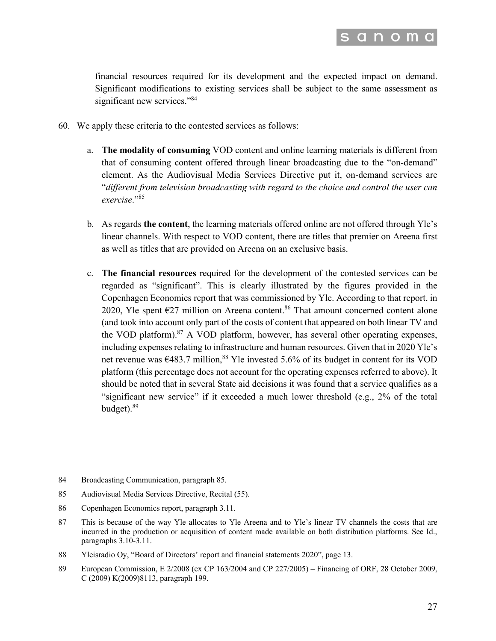

financial resources required for its development and the expected impact on demand. Significant modifications to existing services shall be subject to the same assessment as significant new services."<sup>84</sup>

- 60. We apply these criteria to the contested services as follows:
	- a. **The modality of consuming** VOD content and online learning materials is different from that of consuming content offered through linear broadcasting due to the "on-demand" element. As the Audiovisual Media Services Directive put it, on-demand services are "*different from television broadcasting with regard to the choice and control the user can exercise*."<sup>85</sup>
	- b. As regards **the content**, the learning materials offered online are not offered through Yle's linear channels. With respect to VOD content, there are titles that premier on Areena first as well as titles that are provided on Areena on an exclusive basis.
	- c. **The financial resources** required for the development of the contested services can be regarded as "significant". This is clearly illustrated by the figures provided in the Copenhagen Economics report that was commissioned by Yle. According to that report, in 2020, Yle spent  $E27$  million on Areena content.<sup>86</sup> That amount concerned content alone (and took into account only part of the costs of content that appeared on both linear TV and the VOD platform).<sup>87</sup> A VOD platform, however, has several other operating expenses, including expenses relating to infrastructure and human resources. Given that in 2020 Yle's net revenue was  $6483.7$  million,<sup>88</sup> Yle invested 5.6% of its budget in content for its VOD platform (this percentage does not account for the operating expenses referred to above). It should be noted that in several State aid decisions it was found that a service qualifies as a "significant new service" if it exceeded a much lower threshold (e.g., 2% of the total budget). 89

<sup>84</sup> Broadcasting Communication, paragraph 85.

<sup>85</sup> Audiovisual Media Services Directive, Recital (55).

<sup>86</sup> Copenhagen Economics report, paragraph 3.11.

<sup>87</sup> This is because of the way Yle allocates to Yle Areena and to Yle's linear TV channels the costs that are incurred in the production or acquisition of content made available on both distribution platforms. See Id., paragraphs 3.10-3.11.

<sup>88</sup> Yleisradio Oy, "Board of Directors' report and financial statements 2020", page 13.

<sup>89</sup> European Commission, E 2/2008 (ex CP 163/2004 and CP 227/2005) – Financing of ORF, 28 October 2009, C (2009) K(2009)8113, paragraph 199.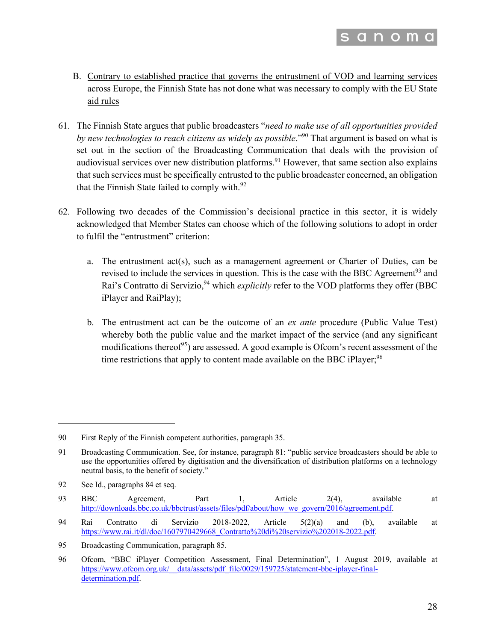

- B. Contrary to established practice that governs the entrustment of VOD and learning services across Europe, the Finnish State has not done what was necessary to comply with the EU State aid rules
- 61. The Finnish State argues that public broadcasters "*need to make use of all opportunities provided by new technologies to reach citizens as widely as possible*."90 That argument is based on what is set out in the section of the Broadcasting Communication that deals with the provision of audiovisual services over new distribution platforms.<sup>91</sup> However, that same section also explains that such services must be specifically entrusted to the public broadcaster concerned, an obligation that the Finnish State failed to comply with.<sup>92</sup>
- 62. Following two decades of the Commission's decisional practice in this sector, it is widely acknowledged that Member States can choose which of the following solutions to adopt in order to fulfil the "entrustment" criterion:
	- a. The entrustment act(s), such as a management agreement or Charter of Duties, can be revised to include the services in question. This is the case with the BBC Agreement<sup>93</sup> and Rai's Contratto di Servizio,<sup>94</sup> which *explicitly* refer to the VOD platforms they offer (BBC iPlayer and RaiPlay);
	- b. The entrustment act can be the outcome of an *ex ante* procedure (Public Value Test) whereby both the public value and the market impact of the service (and any significant modifications thereof<sup>95</sup>) are assessed. A good example is Ofcom's recent assessment of the time restrictions that apply to content made available on the BBC iPlayer;  $96$

<sup>90</sup> First Reply of the Finnish competent authorities, paragraph 35.

<sup>91</sup> Broadcasting Communication. See, for instance, paragraph 81: "public service broadcasters should be able to use the opportunities offered by digitisation and the diversification of distribution platforms on a technology neutral basis, to the benefit of society."

<sup>92</sup> See Id., paragraphs 84 et seq.

<sup>93</sup> BBC Agreement, Part 1, Article 2(4), available at http://downloads.bbc.co.uk/bbctrust/assets/files/pdf/about/how\_we\_govern/2016/agreement.pdf.

<sup>94</sup> Rai Contratto di Servizio 2018-2022, Article 5(2)(a) and (b), available at https://www.rai.it/dl/doc/1607970429668\_Contratto%20di%20servizio%202018-2022.pdf.

<sup>95</sup> Broadcasting Communication, paragraph 85.

<sup>96</sup> Ofcom, "BBC iPlayer Competition Assessment, Final Determination", 1 August 2019, available at https://www.ofcom.org.uk/\_\_data/assets/pdf\_file/0029/159725/statement-bbc-iplayer-finaldetermination.pdf.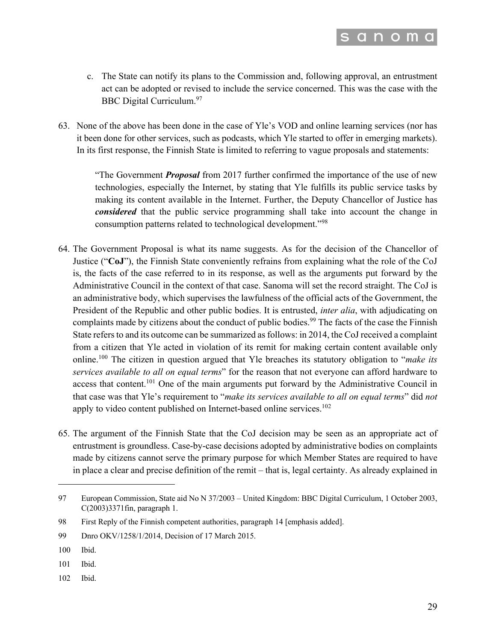

- c. The State can notify its plans to the Commission and, following approval, an entrustment act can be adopted or revised to include the service concerned. This was the case with the BBC Digital Curriculum.<sup>97</sup>
- 63. None of the above has been done in the case of Yle's VOD and online learning services (nor has it been done for other services, such as podcasts, which Yle started to offer in emerging markets). In its first response, the Finnish State is limited to referring to vague proposals and statements:

"The Government *Proposal* from 2017 further confirmed the importance of the use of new technologies, especially the Internet, by stating that Yle fulfills its public service tasks by making its content available in the Internet. Further, the Deputy Chancellor of Justice has *considered* that the public service programming shall take into account the change in consumption patterns related to technological development."98

- 64. The Government Proposal is what its name suggests. As for the decision of the Chancellor of Justice ("**CoJ**"), the Finnish State conveniently refrains from explaining what the role of the CoJ is, the facts of the case referred to in its response, as well as the arguments put forward by the Administrative Council in the context of that case. Sanoma will set the record straight. The CoJ is an administrative body, which supervises the lawfulness of the official acts of the Government, the President of the Republic and other public bodies. It is entrusted, *inter alia*, with adjudicating on complaints made by citizens about the conduct of public bodies.<sup>99</sup> The facts of the case the Finnish State refers to and its outcome can be summarized as follows: in 2014, the CoJ received a complaint from a citizen that Yle acted in violation of its remit for making certain content available only online.<sup>100</sup> The citizen in question argued that Yle breaches its statutory obligation to "*make its services available to all on equal terms*" for the reason that not everyone can afford hardware to access that content.<sup>101</sup> One of the main arguments put forward by the Administrative Council in that case was that Yle's requirement to "*make its services available to all on equal terms*" did *not* apply to video content published on Internet-based online services.<sup>102</sup>
- 65. The argument of the Finnish State that the CoJ decision may be seen as an appropriate act of entrustment is groundless. Case-by-case decisions adopted by administrative bodies on complaints made by citizens cannot serve the primary purpose for which Member States are required to have in place a clear and precise definition of the remit – that is, legal certainty. As already explained in

102 Ibid.

<sup>97</sup> European Commission, State aid No N 37/2003 – United Kingdom: BBC Digital Curriculum, 1 October 2003, C(2003)3371fin, paragraph 1.

<sup>98</sup> First Reply of the Finnish competent authorities, paragraph 14 [emphasis added].

<sup>99</sup> Dnro OKV/1258/1/2014, Decision of 17 March 2015.

<sup>100</sup> Ibid.

<sup>101</sup> Ibid.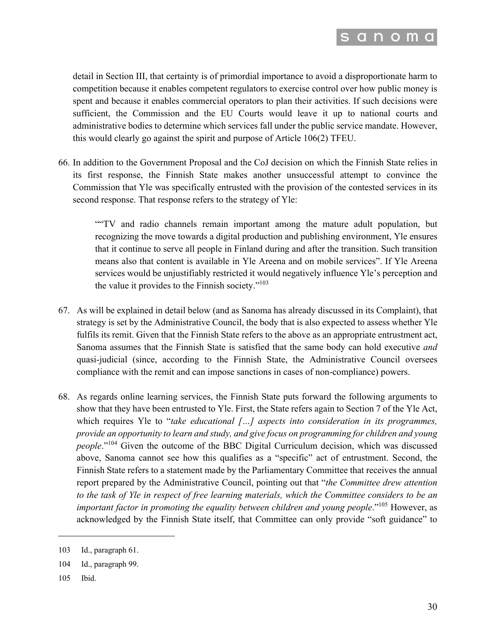

detail in Section III, that certainty is of primordial importance to avoid a disproportionate harm to competition because it enables competent regulators to exercise control over how public money is spent and because it enables commercial operators to plan their activities. If such decisions were sufficient, the Commission and the EU Courts would leave it up to national courts and administrative bodies to determine which services fall under the public service mandate. However, this would clearly go against the spirit and purpose of Article 106(2) TFEU.

66. In addition to the Government Proposal and the CoJ decision on which the Finnish State relies in its first response, the Finnish State makes another unsuccessful attempt to convince the Commission that Yle was specifically entrusted with the provision of the contested services in its second response. That response refers to the strategy of Yle:

""TV and radio channels remain important among the mature adult population, but recognizing the move towards a digital production and publishing environment, Yle ensures that it continue to serve all people in Finland during and after the transition. Such transition means also that content is available in Yle Areena and on mobile services". If Yle Areena services would be unjustifiably restricted it would negatively influence Yle's perception and the value it provides to the Finnish society."<sup>103</sup>

- 67. As will be explained in detail below (and as Sanoma has already discussed in its Complaint), that strategy is set by the Administrative Council, the body that is also expected to assess whether Yle fulfils its remit. Given that the Finnish State refers to the above as an appropriate entrustment act, Sanoma assumes that the Finnish State is satisfied that the same body can hold executive *and*  quasi-judicial (since, according to the Finnish State, the Administrative Council oversees compliance with the remit and can impose sanctions in cases of non-compliance) powers.
- 68. As regards online learning services, the Finnish State puts forward the following arguments to show that they have been entrusted to Yle. First, the State refers again to Section 7 of the Yle Act, which requires Yle to "*take educational* [...] aspects into consideration in its programmes, *provide an opportunity to learn and study, and give focus on programming for children and young people*."<sup>104</sup> Given the outcome of the BBC Digital Curriculum decision, which was discussed above, Sanoma cannot see how this qualifies as a "specific" act of entrustment. Second, the Finnish State refers to a statement made by the Parliamentary Committee that receives the annual report prepared by the Administrative Council, pointing out that "*the Committee drew attention to the task of Yle in respect of free learning materials, which the Committee considers to be an important factor in promoting the equality between children and young people*."<sup>105</sup> However, as acknowledged by the Finnish State itself, that Committee can only provide "soft guidance" to

105 Ibid.

<sup>103</sup> Id., paragraph 61.

<sup>104</sup> Id., paragraph 99.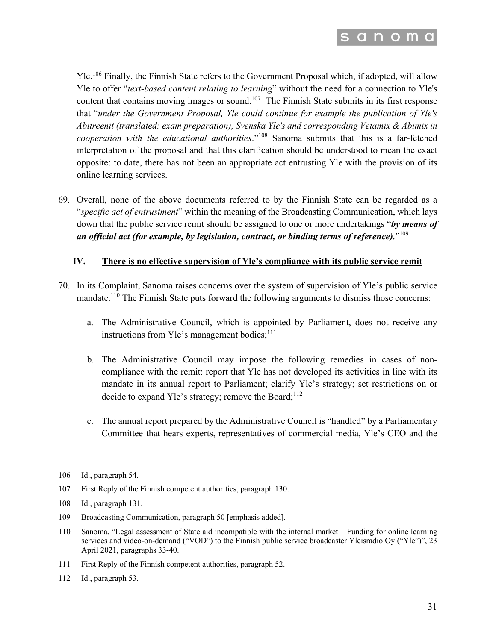

Yle.<sup>106</sup> Finally, the Finnish State refers to the Government Proposal which, if adopted, will allow Yle to offer "*text-based content relating to learning*" without the need for a connection to Yle's content that contains moving images or sound.<sup>107</sup> The Finnish State submits in its first response that "*under the Government Proposal, Yle could continue for example the publication of Yle's Abitreenit (translated: exam preparation), Svenska Yle's and corresponding Vetamix & Abimix in cooperation with the educational authorities*."<sup>108</sup> Sanoma submits that this is a far-fetched interpretation of the proposal and that this clarification should be understood to mean the exact opposite: to date, there has not been an appropriate act entrusting Yle with the provision of its online learning services.

69. Overall, none of the above documents referred to by the Finnish State can be regarded as a "*specific act of entrustment*" within the meaning of the Broadcasting Communication, which lays down that the public service remit should be assigned to one or more undertakings "*by means of an official act (for example, by legislation, contract, or binding terms of reference).*"109

#### **IV. There is no effective supervision of Yle's compliance with its public service remit**

- 70. In its Complaint, Sanoma raises concerns over the system of supervision of Yle's public service mandate.<sup>110</sup> The Finnish State puts forward the following arguments to dismiss those concerns:
	- a. The Administrative Council, which is appointed by Parliament, does not receive any instructions from Yle's management bodies; $^{111}$
	- b. The Administrative Council may impose the following remedies in cases of noncompliance with the remit: report that Yle has not developed its activities in line with its mandate in its annual report to Parliament; clarify Yle's strategy; set restrictions on or decide to expand Yle's strategy; remove the Board; $^{112}$
	- c. The annual report prepared by the Administrative Council is "handled" by a Parliamentary Committee that hears experts, representatives of commercial media, Yle's CEO and the

110 Sanoma, "Legal assessment of State aid incompatible with the internal market – Funding for online learning services and video-on-demand ("VOD") to the Finnish public service broadcaster Yleisradio Oy ("Yle")", 23 April 2021, paragraphs 33-40.

<sup>106</sup> Id., paragraph 54.

<sup>107</sup> First Reply of the Finnish competent authorities, paragraph 130.

<sup>108</sup> Id., paragraph 131.

<sup>109</sup> Broadcasting Communication, paragraph 50 [emphasis added].

<sup>111</sup> First Reply of the Finnish competent authorities, paragraph 52.

<sup>112</sup> Id., paragraph 53.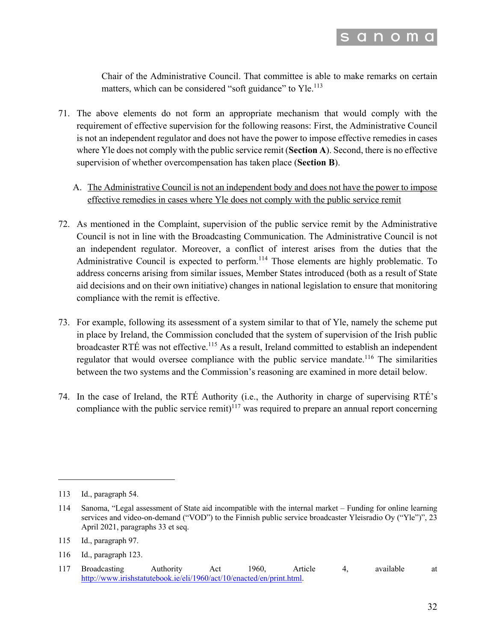

Chair of the Administrative Council. That committee is able to make remarks on certain matters, which can be considered "soft guidance" to Yle.<sup>113</sup>

- 71. The above elements do not form an appropriate mechanism that would comply with the requirement of effective supervision for the following reasons: First, the Administrative Council is not an independent regulator and does not have the power to impose effective remedies in cases where Yle does not comply with the public service remit (**Section A**). Second, there is no effective supervision of whether overcompensation has taken place (**Section B**).
	- A. The Administrative Council is not an independent body and does not have the power to impose effective remedies in cases where Yle does not comply with the public service remit
- 72. As mentioned in the Complaint, supervision of the public service remit by the Administrative Council is not in line with the Broadcasting Communication. The Administrative Council is not an independent regulator. Moreover, a conflict of interest arises from the duties that the Administrative Council is expected to perform.<sup>114</sup> Those elements are highly problematic. To address concerns arising from similar issues, Member States introduced (both as a result of State aid decisions and on their own initiative) changes in national legislation to ensure that monitoring compliance with the remit is effective.
- 73. For example, following its assessment of a system similar to that of Yle, namely the scheme put in place by Ireland, the Commission concluded that the system of supervision of the Irish public broadcaster RTÉ was not effective.<sup>115</sup> As a result, Ireland committed to establish an independent regulator that would oversee compliance with the public service mandate.<sup>116</sup> The similarities between the two systems and the Commission's reasoning are examined in more detail below.
- 74. In the case of Ireland, the RTÉ Authority (i.e., the Authority in charge of supervising RTÉ's compliance with the public service remit)<sup>117</sup> was required to prepare an annual report concerning

<sup>113</sup> Id., paragraph 54.

<sup>114</sup> Sanoma, "Legal assessment of State aid incompatible with the internal market – Funding for online learning services and video-on-demand ("VOD") to the Finnish public service broadcaster Yleisradio Oy ("Yle")", 23 April 2021, paragraphs 33 et seq.

<sup>115</sup> Id., paragraph 97.

<sup>116</sup> Id., paragraph 123.

<sup>117</sup> Broadcasting Authority Act 1960, Article 4, available at http://www.irishstatutebook.ie/eli/1960/act/10/enacted/en/print.html.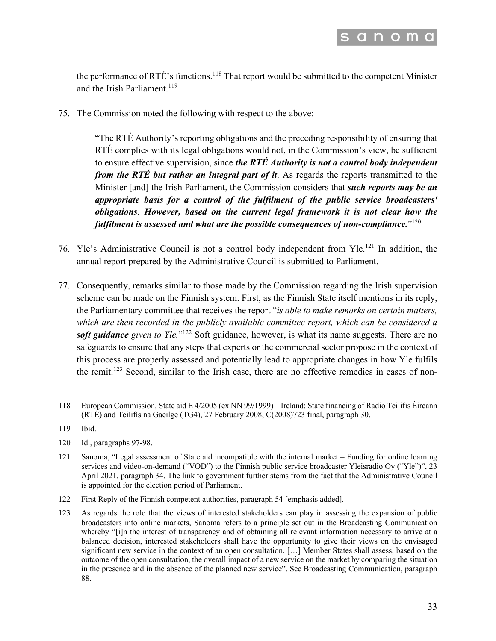

the performance of RTÉ's functions.<sup>118</sup> That report would be submitted to the competent Minister and the Irish Parliament.<sup>119</sup>

75. The Commission noted the following with respect to the above:

"The RTÉ Authority's reporting obligations and the preceding responsibility of ensuring that RTÉ complies with its legal obligations would not, in the Commission's view, be sufficient to ensure effective supervision, since *the RTÉ Authority is not a control body independent from the RTÉ but rather an integral part of it*. As regards the reports transmitted to the Minister [and] the Irish Parliament, the Commission considers that *such reports may be an appropriate basis for a control of the fulfilment of the public service broadcasters' obligations*. *However, based on the current legal framework it is not clear how the fulfilment is assessed and what are the possible consequences of non-compliance.*"120

- 76. Yle's Administrative Council is not a control body independent from Yle.<sup>121</sup> In addition, the annual report prepared by the Administrative Council is submitted to Parliament.
- 77. Consequently, remarks similar to those made by the Commission regarding the Irish supervision scheme can be made on the Finnish system. First, as the Finnish State itself mentions in its reply, the Parliamentary committee that receives the report "*is able to make remarks on certain matters, which are then recorded in the publicly available committee report, which can be considered a soft guidance given to Yle.*"<sup>122</sup> Soft guidance, however, is what its name suggests. There are no safeguards to ensure that any steps that experts or the commercial sector propose in the context of this process are properly assessed and potentially lead to appropriate changes in how Yle fulfils the remit.<sup>123</sup> Second, similar to the Irish case, there are no effective remedies in cases of non-

<sup>118</sup> European Commission, State aid E 4/2005 (ex NN 99/1999) – Ireland: State financing of Radio Teilifís Éireann (RTÉ) and Teilifís na Gaeilge (TG4), 27 February 2008, C(2008)723 final, paragraph 30.

<sup>119</sup> Ibid.

<sup>120</sup> Id., paragraphs 97-98.

<sup>121</sup> Sanoma, "Legal assessment of State aid incompatible with the internal market – Funding for online learning services and video-on-demand ("VOD") to the Finnish public service broadcaster Yleisradio Oy ("Yle")", 23 April 2021, paragraph 34. The link to government further stems from the fact that the Administrative Council is appointed for the election period of Parliament.

<sup>122</sup> First Reply of the Finnish competent authorities, paragraph 54 [emphasis added].

<sup>123</sup> As regards the role that the views of interested stakeholders can play in assessing the expansion of public broadcasters into online markets, Sanoma refers to a principle set out in the Broadcasting Communication whereby "[i]n the interest of transparency and of obtaining all relevant information necessary to arrive at a balanced decision, interested stakeholders shall have the opportunity to give their views on the envisaged significant new service in the context of an open consultation. […] Member States shall assess, based on the outcome of the open consultation, the overall impact of a new service on the market by comparing the situation in the presence and in the absence of the planned new service". See Broadcasting Communication, paragraph 88.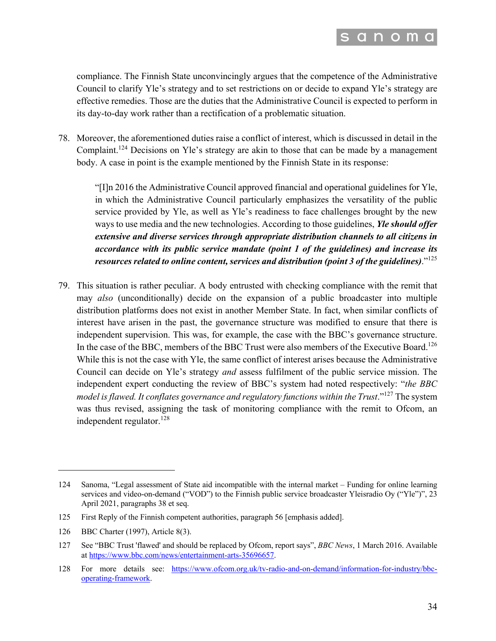

compliance. The Finnish State unconvincingly argues that the competence of the Administrative Council to clarify Yle's strategy and to set restrictions on or decide to expand Yle's strategy are effective remedies. Those are the duties that the Administrative Council is expected to perform in its day-to-day work rather than a rectification of a problematic situation.

78. Moreover, the aforementioned duties raise a conflict of interest, which is discussed in detail in the Complaint.<sup>124</sup> Decisions on Yle's strategy are akin to those that can be made by a management body. A case in point is the example mentioned by the Finnish State in its response:

"[I]n 2016 the Administrative Council approved financial and operational guidelines for Yle, in which the Administrative Council particularly emphasizes the versatility of the public service provided by Yle, as well as Yle's readiness to face challenges brought by the new ways to use media and the new technologies. According to those guidelines, *Yle should offer extensive and diverse services through appropriate distribution channels to all citizens in accordance with its public service mandate (point 1 of the guidelines) and increase its resources related to online content, services and distribution (point 3 of the guidelines)*."125

79. This situation is rather peculiar. A body entrusted with checking compliance with the remit that may *also* (unconditionally) decide on the expansion of a public broadcaster into multiple distribution platforms does not exist in another Member State. In fact, when similar conflicts of interest have arisen in the past, the governance structure was modified to ensure that there is independent supervision. This was, for example, the case with the BBC's governance structure. In the case of the BBC, members of the BBC Trust were also members of the Executive Board.<sup>126</sup> While this is not the case with Yle, the same conflict of interest arises because the Administrative Council can decide on Yle's strategy *and* assess fulfilment of the public service mission. The independent expert conducting the review of BBC's system had noted respectively: "*the BBC model is flawed. It conflates governance and regulatory functions within the Trust*."<sup>127</sup> The system was thus revised, assigning the task of monitoring compliance with the remit to Ofcom, an independent regulator. $128$ 

<sup>124</sup> Sanoma, "Legal assessment of State aid incompatible with the internal market – Funding for online learning services and video-on-demand ("VOD") to the Finnish public service broadcaster Yleisradio Oy ("Yle")", 23 April 2021, paragraphs 38 et seq.

<sup>125</sup> First Reply of the Finnish competent authorities, paragraph 56 [emphasis added].

<sup>126</sup> BBC Charter (1997), Article 8(3).

<sup>127</sup> See "BBC Trust 'flawed' and should be replaced by Ofcom, report says", *BBC News*, 1 March 2016. Available at https://www.bbc.com/news/entertainment-arts-35696657.

<sup>128</sup> For more details see: https://www.ofcom.org.uk/tv-radio-and-on-demand/information-for-industry/bbcoperating-framework.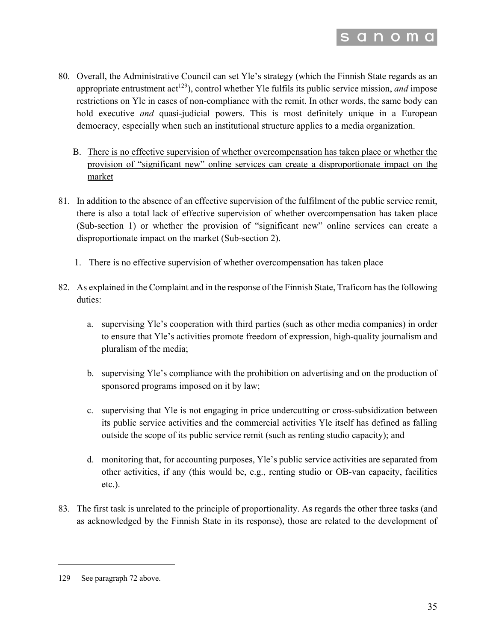

- 80. Overall, the Administrative Council can set Yle's strategy (which the Finnish State regards as an appropriate entrustment act<sup>129</sup>), control whether Yle fulfils its public service mission, *and* impose restrictions on Yle in cases of non-compliance with the remit. In other words, the same body can hold executive *and* quasi-judicial powers. This is most definitely unique in a European democracy, especially when such an institutional structure applies to a media organization.
	- B. There is no effective supervision of whether overcompensation has taken place or whether the provision of "significant new" online services can create a disproportionate impact on the market
- 81. In addition to the absence of an effective supervision of the fulfilment of the public service remit, there is also a total lack of effective supervision of whether overcompensation has taken place (Sub-section 1) or whether the provision of "significant new" online services can create a disproportionate impact on the market (Sub-section 2).
	- 1. There is no effective supervision of whether overcompensation has taken place
- 82. As explained in the Complaint and in the response of the Finnish State, Traficom has the following duties:
	- a. supervising Yle's cooperation with third parties (such as other media companies) in order to ensure that Yle's activities promote freedom of expression, high-quality journalism and pluralism of the media;
	- b. supervising Yle's compliance with the prohibition on advertising and on the production of sponsored programs imposed on it by law;
	- c. supervising that Yle is not engaging in price undercutting or cross-subsidization between its public service activities and the commercial activities Yle itself has defined as falling outside the scope of its public service remit (such as renting studio capacity); and
	- d. monitoring that, for accounting purposes, Yle's public service activities are separated from other activities, if any (this would be, e.g., renting studio or OB-van capacity, facilities etc.).
- 83. The first task is unrelated to the principle of proportionality. As regards the other three tasks (and as acknowledged by the Finnish State in its response), those are related to the development of

<sup>129</sup> See paragraph 72 above.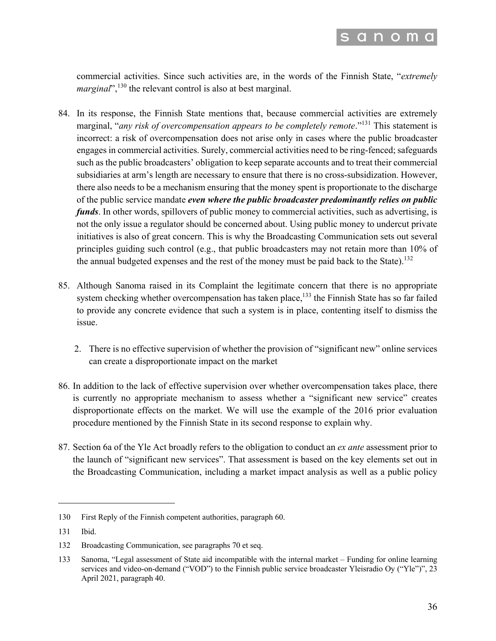

commercial activities. Since such activities are, in the words of the Finnish State, "*extremely marginal*",<sup>130</sup> the relevant control is also at best marginal.

- 84. In its response, the Finnish State mentions that, because commercial activities are extremely marginal, "*any risk of overcompensation appears to be completely remote*."<sup>131</sup> This statement is incorrect: a risk of overcompensation does not arise only in cases where the public broadcaster engages in commercial activities. Surely, commercial activities need to be ring-fenced; safeguards such as the public broadcasters' obligation to keep separate accounts and to treat their commercial subsidiaries at arm's length are necessary to ensure that there is no cross-subsidization. However, there also needs to be a mechanism ensuring that the money spent is proportionate to the discharge of the public service mandate *even where the public broadcaster predominantly relies on public funds*. In other words, spillovers of public money to commercial activities, such as advertising, is not the only issue a regulator should be concerned about. Using public money to undercut private initiatives is also of great concern. This is why the Broadcasting Communication sets out several principles guiding such control (e.g., that public broadcasters may not retain more than 10% of the annual budgeted expenses and the rest of the money must be paid back to the State).<sup>132</sup>
- 85. Although Sanoma raised in its Complaint the legitimate concern that there is no appropriate system checking whether overcompensation has taken place,<sup>133</sup> the Finnish State has so far failed to provide any concrete evidence that such a system is in place, contenting itself to dismiss the issue.
	- 2. There is no effective supervision of whether the provision of "significant new" online services can create a disproportionate impact on the market
- 86. In addition to the lack of effective supervision over whether overcompensation takes place, there is currently no appropriate mechanism to assess whether a "significant new service" creates disproportionate effects on the market. We will use the example of the 2016 prior evaluation procedure mentioned by the Finnish State in its second response to explain why.
- 87. Section 6a of the Yle Act broadly refers to the obligation to conduct an *ex ante* assessment prior to the launch of "significant new services". That assessment is based on the key elements set out in the Broadcasting Communication, including a market impact analysis as well as a public policy

<sup>130</sup> First Reply of the Finnish competent authorities, paragraph 60.

<sup>131</sup> Ibid.

<sup>132</sup> Broadcasting Communication, see paragraphs 70 et seq.

<sup>133</sup> Sanoma, "Legal assessment of State aid incompatible with the internal market – Funding for online learning services and video-on-demand ("VOD") to the Finnish public service broadcaster Yleisradio Oy ("Yle")", 23 April 2021, paragraph 40.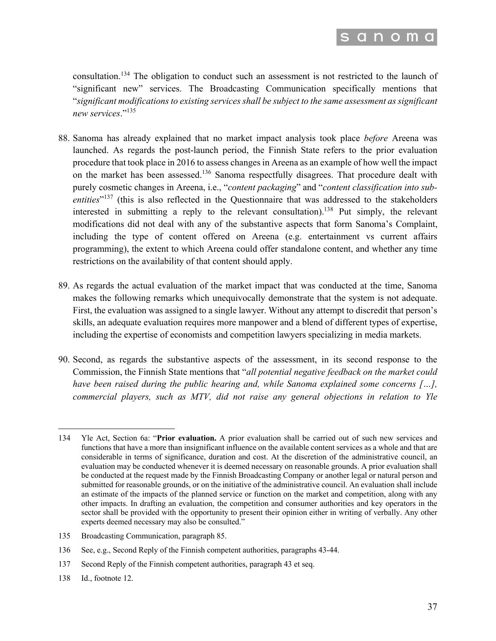

consultation.134 The obligation to conduct such an assessment is not restricted to the launch of "significant new" services. The Broadcasting Communication specifically mentions that "*significant modifications to existing services shall be subject to the same assessment as significant new services*."<sup>135</sup>

- 88. Sanoma has already explained that no market impact analysis took place *before* Areena was launched. As regards the post-launch period, the Finnish State refers to the prior evaluation procedure that took place in 2016 to assess changes in Areena as an example of how well the impact on the market has been assessed.<sup>136</sup> Sanoma respectfully disagrees. That procedure dealt with purely cosmetic changes in Areena, i.e., "*content packaging*" and "*content classification into subentities*"<sup>137</sup> (this is also reflected in the Questionnaire that was addressed to the stakeholders interested in submitting a reply to the relevant consultation).<sup>138</sup> Put simply, the relevant modifications did not deal with any of the substantive aspects that form Sanoma's Complaint, including the type of content offered on Areena (e.g. entertainment vs current affairs programming), the extent to which Areena could offer standalone content, and whether any time restrictions on the availability of that content should apply.
- 89. As regards the actual evaluation of the market impact that was conducted at the time, Sanoma makes the following remarks which unequivocally demonstrate that the system is not adequate. First, the evaluation was assigned to a single lawyer. Without any attempt to discredit that person's skills, an adequate evaluation requires more manpower and a blend of different types of expertise, including the expertise of economists and competition lawyers specializing in media markets.
- 90. Second, as regards the substantive aspects of the assessment, in its second response to the Commission, the Finnish State mentions that "*all potential negative feedback on the market could have been raised during the public hearing and, while Sanoma explained some concerns […], commercial players, such as MTV, did not raise any general objections in relation to Yle*

135 Broadcasting Communication, paragraph 85.

138 Id., footnote 12.

<sup>134</sup> Yle Act, Section 6a: "**Prior evaluation.** A prior evaluation shall be carried out of such new services and functions that have a more than insignificant influence on the available content services as a whole and that are considerable in terms of significance, duration and cost. At the discretion of the administrative council, an evaluation may be conducted whenever it is deemed necessary on reasonable grounds. A prior evaluation shall be conducted at the request made by the Finnish Broadcasting Company or another legal or natural person and submitted for reasonable grounds, or on the initiative of the administrative council. An evaluation shall include an estimate of the impacts of the planned service or function on the market and competition, along with any other impacts. In drafting an evaluation, the competition and consumer authorities and key operators in the sector shall be provided with the opportunity to present their opinion either in writing of verbally. Any other experts deemed necessary may also be consulted."

<sup>136</sup> See, e.g., Second Reply of the Finnish competent authorities, paragraphs 43-44.

<sup>137</sup> Second Reply of the Finnish competent authorities, paragraph 43 et seq.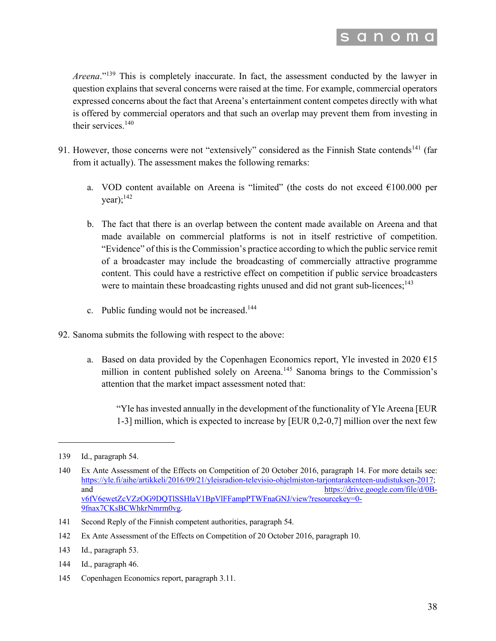

*Areena*."<sup>139</sup> This is completely inaccurate. In fact, the assessment conducted by the lawyer in question explains that several concerns were raised at the time. For example, commercial operators expressed concerns about the fact that Areena's entertainment content competes directly with what is offered by commercial operators and that such an overlap may prevent them from investing in their services.<sup>140</sup>

- 91. However, those concerns were not "extensively" considered as the Finnish State contends<sup>141</sup> (far from it actually). The assessment makes the following remarks:
	- a. VOD content available on Areena is "limited" (the costs do not exceed  $€100.000$  per  $year);$ <sup>142</sup>
	- b. The fact that there is an overlap between the content made available on Areena and that made available on commercial platforms is not in itself restrictive of competition. "Evidence" of this is the Commission's practice according to which the public service remit of a broadcaster may include the broadcasting of commercially attractive programme content. This could have a restrictive effect on competition if public service broadcasters were to maintain these broadcasting rights unused and did not grant sub-licences;<sup>143</sup>
	- c. Public funding would not be increased.<sup>144</sup>
- 92. Sanoma submits the following with respect to the above:
	- a. Based on data provided by the Copenhagen Economics report, Yle invested in 2020  $\epsilon$ 15 million in content published solely on Areena.<sup>145</sup> Sanoma brings to the Commission's attention that the market impact assessment noted that:

"Yle has invested annually in the development of the functionality of Yle Areena [EUR 1-3] million, which is expected to increase by [EUR 0,2-0,7] million over the next few

- 144 Id., paragraph 46.
- 145 Copenhagen Economics report, paragraph 3.11.

<sup>139</sup> Id., paragraph 54.

<sup>140</sup> Ex Ante Assessment of the Effects on Competition of 20 October 2016, paragraph 14. For more details see: https://yle.fi/aihe/artikkeli/2016/09/21/yleisradion-televisio-ohjelmiston-tarjontarakenteen-uudistuksen-2017; and https://drive.google.com/file/d/0Bv6fV6ewetZcVZzOG9DQTlSSHlaV1BpVlFFampPTWFnaGNJ/view?resourcekey=0- 9fnax7CKsBCWhkrNmrm0vg.

<sup>141</sup> Second Reply of the Finnish competent authorities, paragraph 54.

<sup>142</sup> Ex Ante Assessment of the Effects on Competition of 20 October 2016, paragraph 10.

<sup>143</sup> Id., paragraph 53.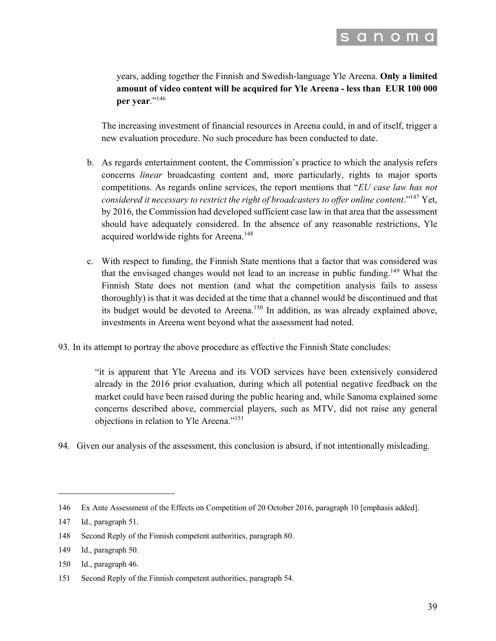

years, adding together the Finnish and Swedish-language Yle Areena. **Only a limited amount of video content will be acquired for Yle Areena - less than EUR 100 000 per year**."<sup>146</sup>

The increasing investment of financial resources in Areena could, in and of itself, trigger a new evaluation procedure. No such procedure has been conducted to date.

- b. As regards entertainment content, the Commission's practice to which the analysis refers concerns *linear* broadcasting content and, more particularly, rights to major sports competitions. As regards online services, the report mentions that "*EU case law has not considered it necessary to restrict the right of broadcasters to offer online content*."147 Yet, by 2016, the Commission had developed sufficient case law in that area that the assessment should have adequately considered. In the absence of any reasonable restrictions, Yle acquired worldwide rights for Areena.<sup>148</sup>
- c. With respect to funding, the Finnish State mentions that a factor that was considered was that the envisaged changes would not lead to an increase in public funding.<sup>149</sup> What the Finnish State does not mention (and what the competition analysis fails to assess thoroughly) is that it was decided at the time that a channel would be discontinued and that its budget would be devoted to Areena.<sup>150</sup> In addition, as was already explained above, investments in Areena went beyond what the assessment had noted.
- 93. In its attempt to portray the above procedure as effective the Finnish State concludes:

"it is apparent that Yle Areena and its VOD services have been extensively considered already in the 2016 prior evaluation, during which all potential negative feedback on the market could have been raised during the public hearing and, while Sanoma explained some concerns described above, commercial players, such as MTV, did not raise any general objections in relation to Yle Areena."151

94. Given our analysis of the assessment, this conclusion is absurd, if not intentionally misleading.

<sup>146</sup> Ex Ante Assessment of the Effects on Competition of 20 October 2016, paragraph 10 [emphasis added].

<sup>147</sup> Id., paragraph 51.

<sup>148</sup> Second Reply of the Finnish competent authorities, paragraph 80.

<sup>149</sup> Id., paragraph 50.

<sup>150</sup> Id., paragraph 46.

<sup>151</sup> Second Reply of the Finnish competent authorities, paragraph 54.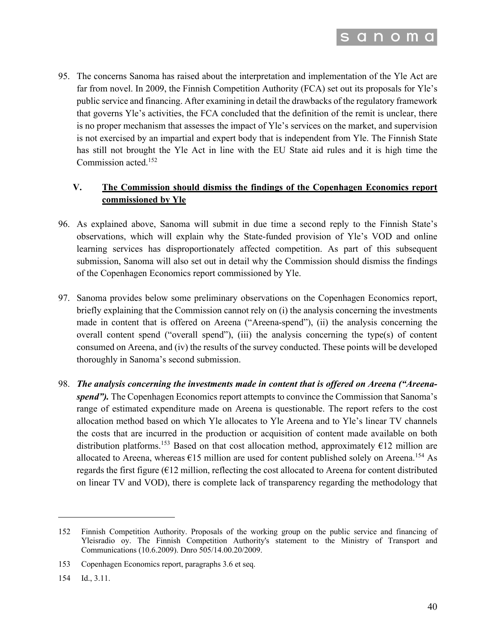

95. The concerns Sanoma has raised about the interpretation and implementation of the Yle Act are far from novel. In 2009, the Finnish Competition Authority (FCA) set out its proposals for Yle's public service and financing. After examining in detail the drawbacks of the regulatory framework that governs Yle's activities, the FCA concluded that the definition of the remit is unclear, there is no proper mechanism that assesses the impact of Yle's services on the market, and supervision is not exercised by an impartial and expert body that is independent from Yle. The Finnish State has still not brought the Yle Act in line with the EU State aid rules and it is high time the Commission acted.<sup>152</sup>

### **V. The Commission should dismiss the findings of the Copenhagen Economics report commissioned by Yle**

- 96. As explained above, Sanoma will submit in due time a second reply to the Finnish State's observations, which will explain why the State-funded provision of Yle's VOD and online learning services has disproportionately affected competition. As part of this subsequent submission, Sanoma will also set out in detail why the Commission should dismiss the findings of the Copenhagen Economics report commissioned by Yle.
- 97. Sanoma provides below some preliminary observations on the Copenhagen Economics report, briefly explaining that the Commission cannot rely on (i) the analysis concerning the investments made in content that is offered on Areena ("Areena-spend"), (ii) the analysis concerning the overall content spend ("overall spend"), (iii) the analysis concerning the type(s) of content consumed on Areena, and (iv) the results of the survey conducted. These points will be developed thoroughly in Sanoma's second submission.
- 98. *The analysis concerning the investments made in content that is offered on Areena ("Areenaspend"*). The Copenhagen Economics report attempts to convince the Commission that Sanoma's range of estimated expenditure made on Areena is questionable. The report refers to the cost allocation method based on which Yle allocates to Yle Areena and to Yle's linear TV channels the costs that are incurred in the production or acquisition of content made available on both distribution platforms.<sup>153</sup> Based on that cost allocation method, approximately  $\epsilon$ 12 million are allocated to Areena, whereas  $\epsilon$ 15 million are used for content published solely on Areena.<sup>154</sup> As regards the first figure  $(612 \text{ million}, \text{reflecting the cost allocated to Areena for content distributed})$ on linear TV and VOD), there is complete lack of transparency regarding the methodology that

<sup>152</sup> Finnish Competition Authority. Proposals of the working group on the public service and financing of Yleisradio oy. The Finnish Competition Authority's statement to the Ministry of Transport and Communications (10.6.2009). Dnro 505/14.00.20/2009.

<sup>153</sup> Copenhagen Economics report, paragraphs 3.6 et seq.

<sup>154</sup> Id., 3.11.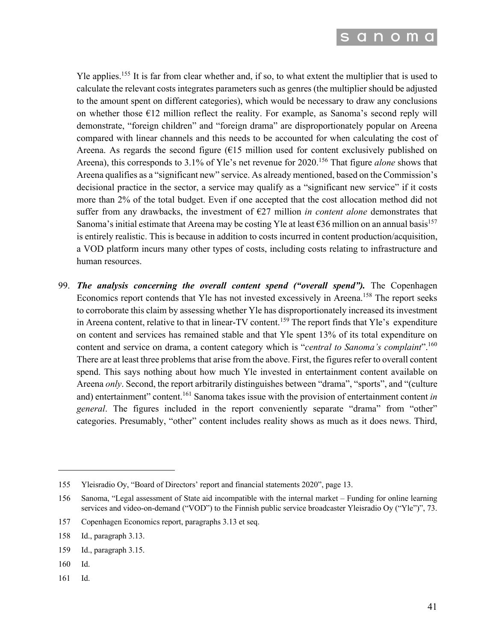

Yle applies.155 It is far from clear whether and, if so, to what extent the multiplier that is used to calculate the relevant costs integrates parameters such as genres (the multiplier should be adjusted to the amount spent on different categories), which would be necessary to draw any conclusions on whether those  $\epsilon$ 12 million reflect the reality. For example, as Sanoma's second reply will demonstrate, "foreign children" and "foreign drama" are disproportionately popular on Areena compared with linear channels and this needs to be accounted for when calculating the cost of Areena. As regards the second figure  $(615 \text{ million used for content exclusively published on})$ Areena), this corresponds to 3.1% of Yle's net revenue for 2020.<sup>156</sup> That figure *alone* shows that Areena qualifies as a "significant new" service. As already mentioned, based on the Commission's decisional practice in the sector, a service may qualify as a "significant new service" if it costs more than 2% of the total budget. Even if one accepted that the cost allocation method did not suffer from any drawbacks, the investment of  $E27$  million *in content alone* demonstrates that Sanoma's initial estimate that Areena may be costing Yle at least  $\epsilon$ 36 million on an annual basis<sup>157</sup> is entirely realistic. This is because in addition to costs incurred in content production/acquisition, a VOD platform incurs many other types of costs, including costs relating to infrastructure and human resources.

99. *The analysis concerning the overall content spend ("overall spend").* The Copenhagen Economics report contends that Yle has not invested excessively in Areena.<sup>158</sup> The report seeks to corroborate this claim by assessing whether Yle has disproportionately increased its investment in Areena content, relative to that in linear-TV content.<sup>159</sup> The report finds that Yle's expenditure on content and services has remained stable and that Yle spent 13% of its total expenditure on content and service on drama, a content category which is "*central to Sanoma's complaint*".160 There are at least three problems that arise from the above. First, the figures refer to overall content spend. This says nothing about how much Yle invested in entertainment content available on Areena *only*. Second, the report arbitrarily distinguishes between "drama", "sports", and "(culture and) entertainment" content.<sup>161</sup> Sanoma takes issue with the provision of entertainment content *in general*. The figures included in the report conveniently separate "drama" from "other" categories. Presumably, "other" content includes reality shows as much as it does news. Third,

- 160 Id.
- 161 Id.

<sup>155</sup> Yleisradio Oy, "Board of Directors' report and financial statements 2020", page 13.

<sup>156</sup> Sanoma, "Legal assessment of State aid incompatible with the internal market – Funding for online learning services and video-on-demand ("VOD") to the Finnish public service broadcaster Yleisradio Oy ("Yle")", 73.

<sup>157</sup> Copenhagen Economics report, paragraphs 3.13 et seq.

<sup>158</sup> Id., paragraph 3.13.

<sup>159</sup> Id., paragraph 3.15.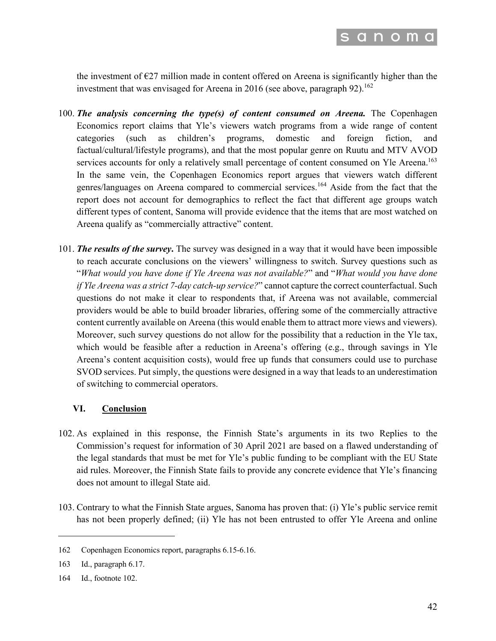

the investment of  $E$ 27 million made in content offered on Areena is significantly higher than the investment that was envisaged for Areena in 2016 (see above, paragraph  $92$ ).<sup>162</sup>

- 100. *The analysis concerning the type(s) of content consumed on Areena.* The Copenhagen Economics report claims that Yle's viewers watch programs from a wide range of content categories (such as children's programs, domestic and foreign fiction, and factual/cultural/lifestyle programs), and that the most popular genre on Ruutu and MTV AVOD services accounts for only a relatively small percentage of content consumed on Yle Areena.<sup>163</sup> In the same vein, the Copenhagen Economics report argues that viewers watch different genres/languages on Areena compared to commercial services.<sup>164</sup> Aside from the fact that the report does not account for demographics to reflect the fact that different age groups watch different types of content, Sanoma will provide evidence that the items that are most watched on Areena qualify as "commercially attractive" content.
- 101. *The results of the survey***.** The survey was designed in a way that it would have been impossible to reach accurate conclusions on the viewers' willingness to switch. Survey questions such as "*What would you have done if Yle Areena was not available?*" and "*What would you have done if Yle Areena was a strict 7-day catch-up service?*" cannot capture the correct counterfactual. Such questions do not make it clear to respondents that, if Areena was not available, commercial providers would be able to build broader libraries, offering some of the commercially attractive content currently available on Areena (this would enable them to attract more views and viewers). Moreover, such survey questions do not allow for the possibility that a reduction in the Yle tax, which would be feasible after a reduction in Areena's offering (e.g., through savings in Yle Areena's content acquisition costs), would free up funds that consumers could use to purchase SVOD services. Put simply, the questions were designed in a way that leads to an underestimation of switching to commercial operators.

#### **VI. Conclusion**

- 102. As explained in this response, the Finnish State's arguments in its two Replies to the Commission's request for information of 30 April 2021 are based on a flawed understanding of the legal standards that must be met for Yle's public funding to be compliant with the EU State aid rules. Moreover, the Finnish State fails to provide any concrete evidence that Yle's financing does not amount to illegal State aid.
- 103. Contrary to what the Finnish State argues, Sanoma has proven that: (i) Yle's public service remit has not been properly defined; (ii) Yle has not been entrusted to offer Yle Areena and online

<sup>162</sup> Copenhagen Economics report, paragraphs 6.15-6.16.

<sup>163</sup> Id., paragraph 6.17.

<sup>164</sup> Id., footnote 102.